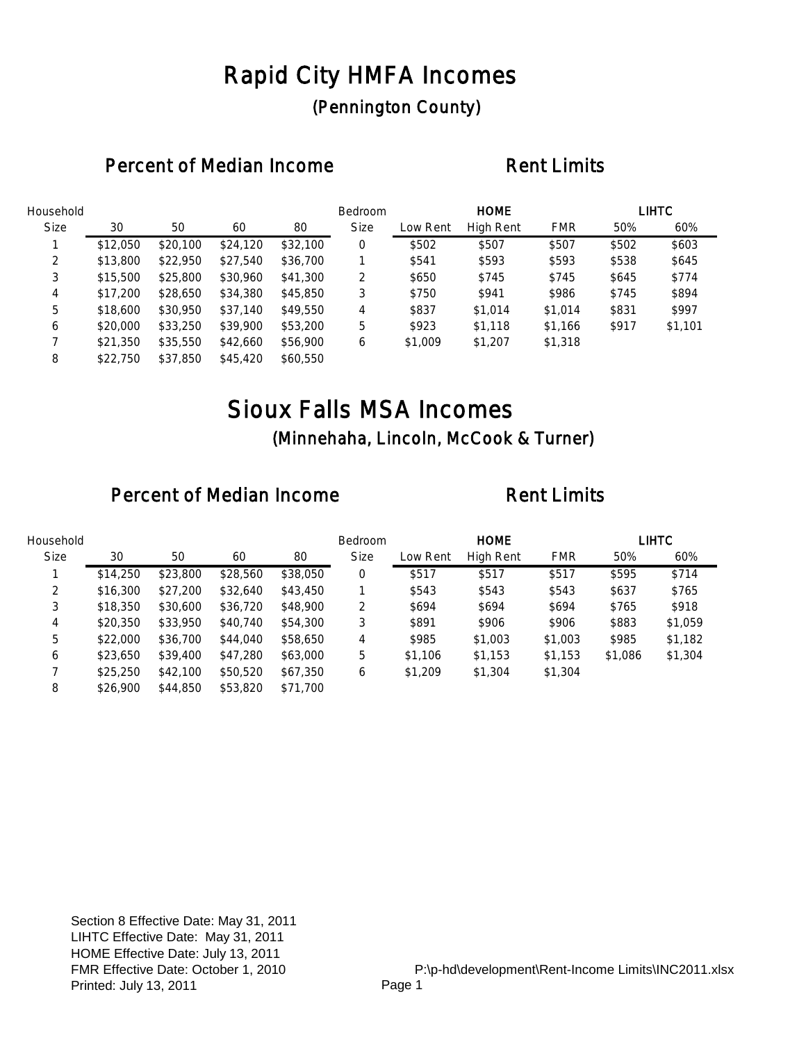## Rapid City HMFA Incomes (Pennington County)

### Percent of Median Income **Rent Limits**

| Household   |          |          |          |          | Bedroom     |          | <b>HOME</b> |            |       | <b>LIHTC</b> |
|-------------|----------|----------|----------|----------|-------------|----------|-------------|------------|-------|--------------|
| <b>Size</b> | 30       | 50       | 60       | 80       | <b>Size</b> | Low Rent | High Rent   | <b>FMR</b> | 50%   | 60%          |
|             | \$12,050 | \$20,100 | \$24,120 | \$32,100 | 0           | \$502    | \$507       | \$507      | \$502 | \$603        |
| 2           | \$13,800 | \$22,950 | \$27,540 | \$36,700 |             | \$541    | \$593       | \$593      | \$538 | \$645        |
| 3           | \$15,500 | \$25,800 | \$30,960 | \$41,300 | 2           | \$650    | \$745       | \$745      | \$645 | \$774        |
| 4           | \$17,200 | \$28,650 | \$34,380 | \$45,850 | 3           | \$750    | \$941       | \$986      | \$745 | \$894        |
| 5           | \$18,600 | \$30,950 | \$37,140 | \$49,550 | 4           | \$837    | \$1,014     | \$1,014    | \$831 | \$997        |
| 6           | \$20,000 | \$33,250 | \$39,900 | \$53,200 | 5           | \$923    | \$1,118     | \$1,166    | \$917 | \$1,101      |
|             | \$21,350 | \$35,550 | \$42,660 | \$56,900 | 6           | \$1,009  | \$1,207     | \$1,318    |       |              |
| 8           | \$22,750 | \$37,850 | \$45,420 | \$60,550 |             |          |             |            |       |              |

## Sioux Falls MSA Incomes (Minnehaha, Lincoln, McCook & Turner)

| Household   |          |          |          |          | <b>Bedroom</b> |          | <b>HOME</b>      |            |         | <b>LIHTC</b> |
|-------------|----------|----------|----------|----------|----------------|----------|------------------|------------|---------|--------------|
| <b>Size</b> | 30       | 50       | 60       | 80       | <b>Size</b>    | Low Rent | <b>High Rent</b> | <b>FMR</b> | 50%     | 60%          |
|             | \$14,250 | \$23,800 | \$28,560 | \$38,050 | 0              | \$517    | \$517            | \$517      | \$595   | \$714        |
| 2           | \$16,300 | \$27,200 | \$32,640 | \$43,450 |                | \$543    | \$543            | \$543      | \$637   | \$765        |
| 3           | \$18,350 | \$30,600 | \$36,720 | \$48,900 | 2              | \$694    | \$694            | \$694      | \$765   | \$918        |
| 4           | \$20,350 | \$33,950 | \$40,740 | \$54,300 | 3              | \$891    | \$906            | \$906      | \$883   | \$1,059      |
| 5           | \$22,000 | \$36,700 | \$44,040 | \$58,650 | 4              | \$985    | \$1,003          | \$1,003    | \$985   | \$1,182      |
| 6           | \$23,650 | \$39,400 | \$47,280 | \$63,000 | 5              | \$1,106  | \$1,153          | \$1,153    | \$1,086 | \$1,304      |
|             | \$25,250 | \$42,100 | \$50,520 | \$67,350 | 6              | \$1,209  | \$1,304          | \$1,304    |         |              |
| 8           | \$26,900 | \$44,850 | \$53,820 | \$71,700 |                |          |                  |            |         |              |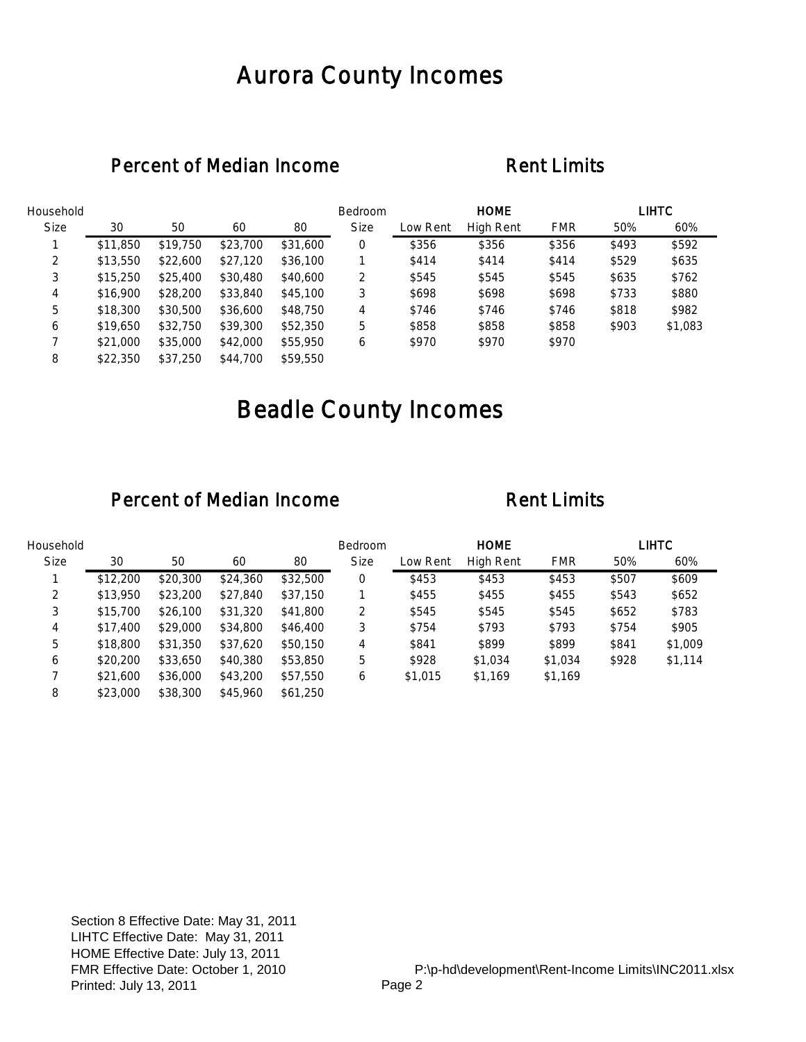## Aurora County Incomes

### Percent of Median Income Rent Limits

| Household   |          |          |          |          | Bedroom     |          | <b>HOME</b> |            |       | <b>LIHTC</b> |
|-------------|----------|----------|----------|----------|-------------|----------|-------------|------------|-------|--------------|
| <b>Size</b> | 30       | 50       | 60       | 80       | <b>Size</b> | Low Rent | High Rent   | <b>FMR</b> | 50%   | 60%          |
|             | \$11,850 | \$19,750 | \$23,700 | \$31,600 | 0           | \$356    | \$356       | \$356      | \$493 | \$592        |
| 2           | \$13,550 | \$22,600 | \$27,120 | \$36,100 |             | \$414    | \$414       | \$414      | \$529 | \$635        |
| 3           | \$15,250 | \$25,400 | \$30,480 | \$40,600 | 2           | \$545    | \$545       | \$545      | \$635 | \$762        |
| 4           | \$16,900 | \$28,200 | \$33,840 | \$45,100 | 3           | \$698    | \$698       | \$698      | \$733 | \$880        |
| 5           | \$18,300 | \$30,500 | \$36,600 | \$48,750 | 4           | \$746    | \$746       | \$746      | \$818 | \$982        |
| 6           | \$19,650 | \$32,750 | \$39,300 | \$52,350 | 5           | \$858    | \$858       | \$858      | \$903 | \$1,083      |
|             | \$21,000 | \$35,000 | \$42,000 | \$55,950 | 6           | \$970    | \$970       | \$970      |       |              |
| 8           | \$22,350 | \$37,250 | \$44,700 | \$59,550 |             |          |             |            |       |              |

# Beadle County Incomes

| Household   |          |          |          |          | <b>Bedroom</b> |          | <b>HOME</b> |            |       | LIHTC   |
|-------------|----------|----------|----------|----------|----------------|----------|-------------|------------|-------|---------|
| <b>Size</b> | 30       | 50       | 60       | 80       | <b>Size</b>    | Low Rent | High Rent   | <b>FMR</b> | 50%   | 60%     |
|             | \$12,200 | \$20,300 | \$24,360 | \$32,500 | 0              | \$453    | \$453       | \$453      | \$507 | \$609   |
| 2           | \$13,950 | \$23,200 | \$27,840 | \$37,150 |                | \$455    | \$455       | \$455      | \$543 | \$652   |
| 3           | \$15,700 | \$26,100 | \$31,320 | \$41,800 | 2              | \$545    | \$545       | \$545      | \$652 | \$783   |
| 4           | \$17,400 | \$29,000 | \$34,800 | \$46,400 | 3              | \$754    | \$793       | \$793      | \$754 | \$905   |
| 5           | \$18,800 | \$31,350 | \$37,620 | \$50,150 | 4              | \$841    | \$899       | \$899      | \$841 | \$1,009 |
| 6           | \$20,200 | \$33,650 | \$40,380 | \$53,850 | 5              | \$928    | \$1,034     | \$1,034    | \$928 | \$1,114 |
|             | \$21,600 | \$36,000 | \$43,200 | \$57,550 | 6              | \$1,015  | \$1,169     | \$1,169    |       |         |
| 8           | \$23,000 | \$38,300 | \$45,960 | \$61,250 |                |          |             |            |       |         |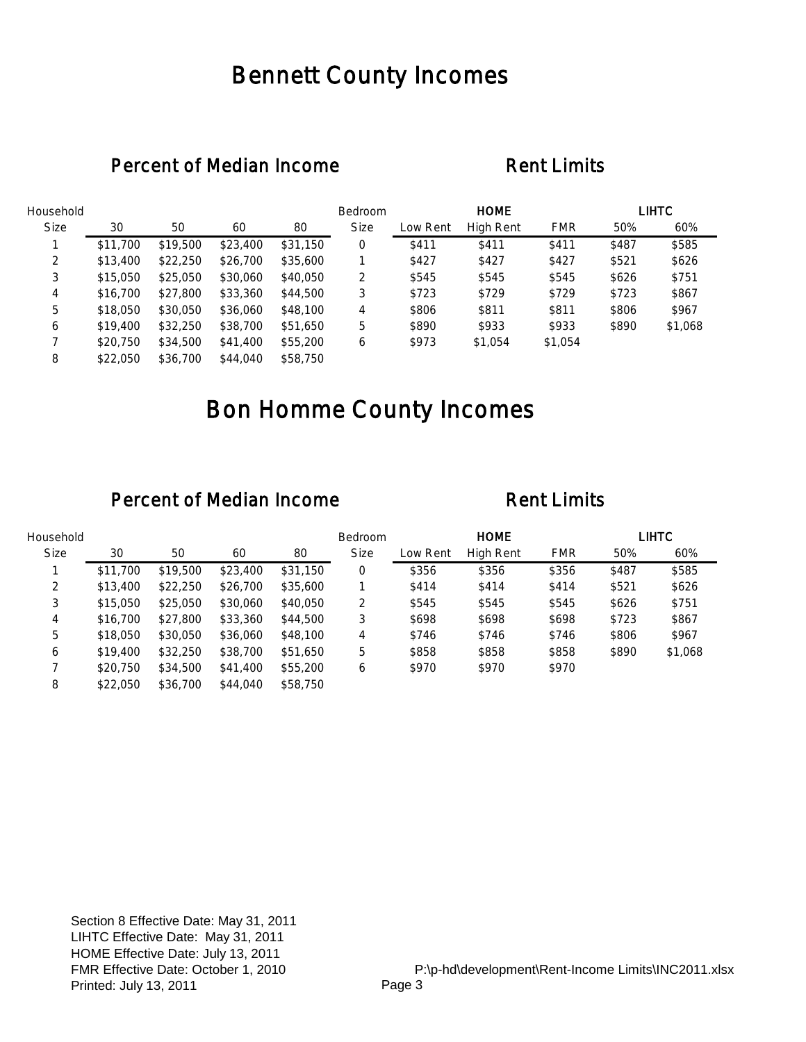## Bennett County Incomes

### Percent of Median Income Rent Limits

| Household   |          |          |          |          | Bedroom     |          | <b>HOME</b> |            |       | <b>LIHTC</b> |
|-------------|----------|----------|----------|----------|-------------|----------|-------------|------------|-------|--------------|
| <b>Size</b> | 30       | 50       | 60       | 80       | <b>Size</b> | Low Rent | High Rent   | <b>FMR</b> | 50%   | 60%          |
|             | \$11,700 | \$19,500 | \$23,400 | \$31,150 | 0           | \$411    | \$411       | \$411      | \$487 | \$585        |
| 2           | \$13,400 | \$22,250 | \$26,700 | \$35,600 |             | \$427    | \$427       | \$427      | \$521 | \$626        |
| 3           | \$15,050 | \$25,050 | \$30,060 | \$40,050 | 2           | \$545    | \$545       | \$545      | \$626 | \$751        |
| 4           | \$16,700 | \$27,800 | \$33,360 | \$44,500 | 3           | \$723    | \$729       | \$729      | \$723 | \$867        |
| 5           | \$18,050 | \$30,050 | \$36,060 | \$48,100 | 4           | \$806    | \$811       | \$811      | \$806 | \$967        |
| 6           | \$19,400 | \$32,250 | \$38,700 | \$51,650 | 5           | \$890    | \$933       | \$933      | \$890 | \$1,068      |
|             | \$20,750 | \$34,500 | \$41,400 | \$55,200 | 6           | \$973    | \$1,054     | \$1,054    |       |              |
| 8           | \$22,050 | \$36,700 | \$44,040 | \$58,750 |             |          |             |            |       |              |

## Bon Homme County Incomes

| Household   |          |          |          |          | <b>Bedroom</b> |          | <b>HOME</b>      |            |       | LIHTC   |
|-------------|----------|----------|----------|----------|----------------|----------|------------------|------------|-------|---------|
| <b>Size</b> | 30       | 50       | 60       | 80       | <b>Size</b>    | Low Rent | <b>High Rent</b> | <b>FMR</b> | 50%   | 60%     |
|             | \$11,700 | \$19,500 | \$23,400 | \$31,150 | 0              | \$356    | \$356            | \$356      | \$487 | \$585   |
| 2           | \$13,400 | \$22,250 | \$26,700 | \$35,600 |                | \$414    | \$414            | \$414      | \$521 | \$626   |
| 3           | \$15,050 | \$25,050 | \$30,060 | \$40,050 | 2              | \$545    | \$545            | \$545      | \$626 | \$751   |
| 4           | \$16,700 | \$27,800 | \$33,360 | \$44,500 | 3              | \$698    | \$698            | \$698      | \$723 | \$867   |
| 5           | \$18,050 | \$30,050 | \$36,060 | \$48,100 | 4              | \$746    | \$746            | \$746      | \$806 | \$967   |
| 6           | \$19,400 | \$32,250 | \$38,700 | \$51,650 | 5              | \$858    | \$858            | \$858      | \$890 | \$1,068 |
|             | \$20,750 | \$34,500 | \$41,400 | \$55,200 | 6              | \$970    | \$970            | \$970      |       |         |
| 8           | \$22,050 | \$36,700 | \$44,040 | \$58,750 |                |          |                  |            |       |         |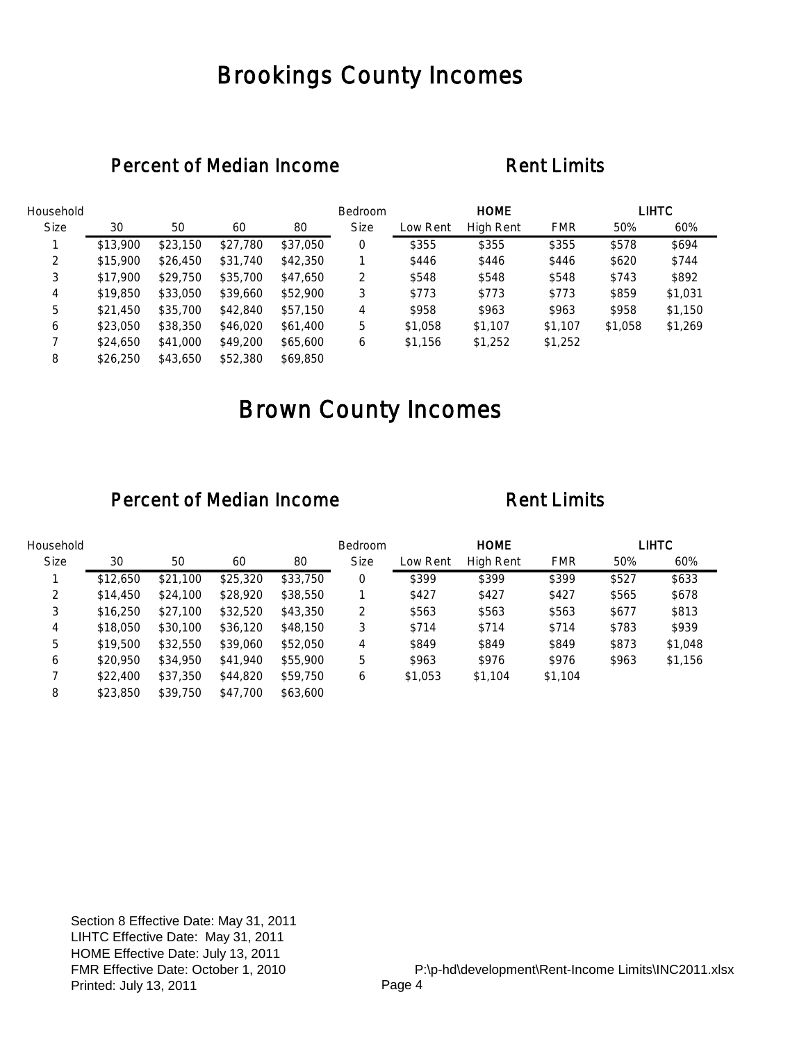## Brookings County Incomes

### Percent of Median Income Rent Limits

| Household   |          |          |          |          | Bedroom     |          | <b>HOME</b> |            |         | <b>LIHTC</b> |
|-------------|----------|----------|----------|----------|-------------|----------|-------------|------------|---------|--------------|
| <b>Size</b> | 30       | 50       | 60       | 80       | <b>Size</b> | Low Rent | High Rent   | <b>FMR</b> | 50%     | 60%          |
|             | \$13,900 | \$23,150 | \$27,780 | \$37,050 | 0           | \$355    | \$355       | \$355      | \$578   | \$694        |
| 2           | \$15,900 | \$26,450 | \$31,740 | \$42,350 |             | \$446    | \$446       | \$446      | \$620   | \$744        |
| 3           | \$17,900 | \$29,750 | \$35,700 | \$47,650 | 2           | \$548    | \$548       | \$548      | \$743   | \$892        |
| 4           | \$19,850 | \$33,050 | \$39,660 | \$52,900 | 3           | \$773    | \$773       | \$773      | \$859   | \$1,031      |
| 5           | \$21,450 | \$35,700 | \$42,840 | \$57,150 | 4           | \$958    | \$963       | \$963      | \$958   | \$1,150      |
| 6           | \$23,050 | \$38,350 | \$46,020 | \$61,400 | 5           | \$1,058  | \$1,107     | \$1,107    | \$1,058 | \$1,269      |
|             | \$24,650 | \$41,000 | \$49,200 | \$65,600 | 6           | \$1,156  | \$1,252     | \$1,252    |         |              |
| 8           | \$26,250 | \$43,650 | \$52,380 | \$69,850 |             |          |             |            |         |              |

# Brown County Incomes

| Household   |          |          |          |          | <b>Bedroom</b> |          | <b>HOME</b> |            |       | LIHTC   |
|-------------|----------|----------|----------|----------|----------------|----------|-------------|------------|-------|---------|
| <b>Size</b> | 30       | 50       | 60       | 80       | <b>Size</b>    | Low Rent | High Rent   | <b>FMR</b> | 50%   | 60%     |
|             | \$12,650 | \$21,100 | \$25,320 | \$33,750 | 0              | \$399    | \$399       | \$399      | \$527 | \$633   |
| 2           | \$14,450 | \$24,100 | \$28,920 | \$38,550 |                | \$427    | \$427       | \$427      | \$565 | \$678   |
| 3           | \$16,250 | \$27,100 | \$32,520 | \$43,350 | 2              | \$563    | \$563       | \$563      | \$677 | \$813   |
| 4           | \$18,050 | \$30,100 | \$36,120 | \$48,150 | 3              | \$714    | \$714       | \$714      | \$783 | \$939   |
| 5           | \$19,500 | \$32,550 | \$39,060 | \$52,050 | 4              | \$849    | \$849       | \$849      | \$873 | \$1,048 |
| 6           | \$20,950 | \$34,950 | \$41,940 | \$55,900 | 5              | \$963    | \$976       | \$976      | \$963 | \$1,156 |
|             | \$22,400 | \$37,350 | \$44,820 | \$59,750 | 6              | \$1,053  | \$1,104     | \$1,104    |       |         |
| 8           | \$23,850 | \$39,750 | \$47,700 | \$63,600 |                |          |             |            |       |         |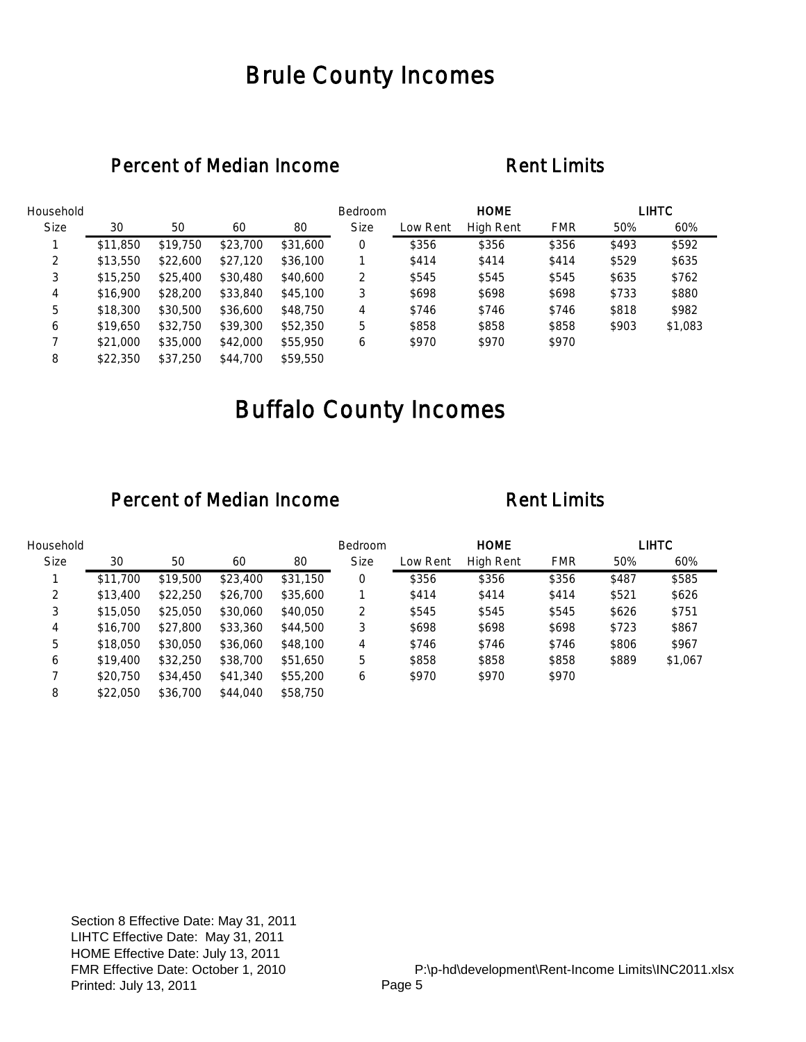## Brule County Incomes

### Percent of Median Income Rent Limits

| Household   |          |          |          |          | Bedroom     |          | <b>HOME</b> |            |       | <b>LIHTC</b> |
|-------------|----------|----------|----------|----------|-------------|----------|-------------|------------|-------|--------------|
| <b>Size</b> | 30       | 50       | 60       | 80       | <b>Size</b> | Low Rent | High Rent   | <b>FMR</b> | 50%   | 60%          |
|             | \$11,850 | \$19,750 | \$23,700 | \$31,600 | 0           | \$356    | \$356       | \$356      | \$493 | \$592        |
| 2           | \$13,550 | \$22,600 | \$27,120 | \$36,100 |             | \$414    | \$414       | \$414      | \$529 | \$635        |
| 3           | \$15,250 | \$25,400 | \$30,480 | \$40,600 | 2           | \$545    | \$545       | \$545      | \$635 | \$762        |
| 4           | \$16,900 | \$28,200 | \$33,840 | \$45,100 | 3           | \$698    | \$698       | \$698      | \$733 | \$880        |
| 5           | \$18,300 | \$30,500 | \$36,600 | \$48,750 | 4           | \$746    | \$746       | \$746      | \$818 | \$982        |
| 6           | \$19,650 | \$32,750 | \$39,300 | \$52,350 | 5           | \$858    | \$858       | \$858      | \$903 | \$1,083      |
|             | \$21,000 | \$35,000 | \$42,000 | \$55,950 | 6           | \$970    | \$970       | \$970      |       |              |
| 8           | \$22,350 | \$37,250 | \$44,700 | \$59,550 |             |          |             |            |       |              |

# Buffalo County Incomes

| Household   |          |          |          |          | <b>Bedroom</b> |          | <b>HOME</b>      |            |       | LIHTC   |
|-------------|----------|----------|----------|----------|----------------|----------|------------------|------------|-------|---------|
| <b>Size</b> | 30       | 50       | 60       | 80       | <b>Size</b>    | Low Rent | <b>High Rent</b> | <b>FMR</b> | 50%   | 60%     |
|             | \$11,700 | \$19,500 | \$23,400 | \$31,150 | 0              | \$356    | \$356            | \$356      | \$487 | \$585   |
| 2           | \$13,400 | \$22,250 | \$26,700 | \$35,600 |                | \$414    | \$414            | \$414      | \$521 | \$626   |
| 3           | \$15,050 | \$25,050 | \$30,060 | \$40,050 | 2              | \$545    | \$545            | \$545      | \$626 | \$751   |
| 4           | \$16,700 | \$27,800 | \$33,360 | \$44,500 | 3              | \$698    | \$698            | \$698      | \$723 | \$867   |
| 5           | \$18,050 | \$30,050 | \$36,060 | \$48,100 | 4              | \$746    | \$746            | \$746      | \$806 | \$967   |
| 6           | \$19,400 | \$32,250 | \$38,700 | \$51,650 | 5              | \$858    | \$858            | \$858      | \$889 | \$1,067 |
|             | \$20,750 | \$34,450 | \$41,340 | \$55,200 | 6              | \$970    | \$970            | \$970      |       |         |
| 8           | \$22,050 | \$36,700 | \$44,040 | \$58,750 |                |          |                  |            |       |         |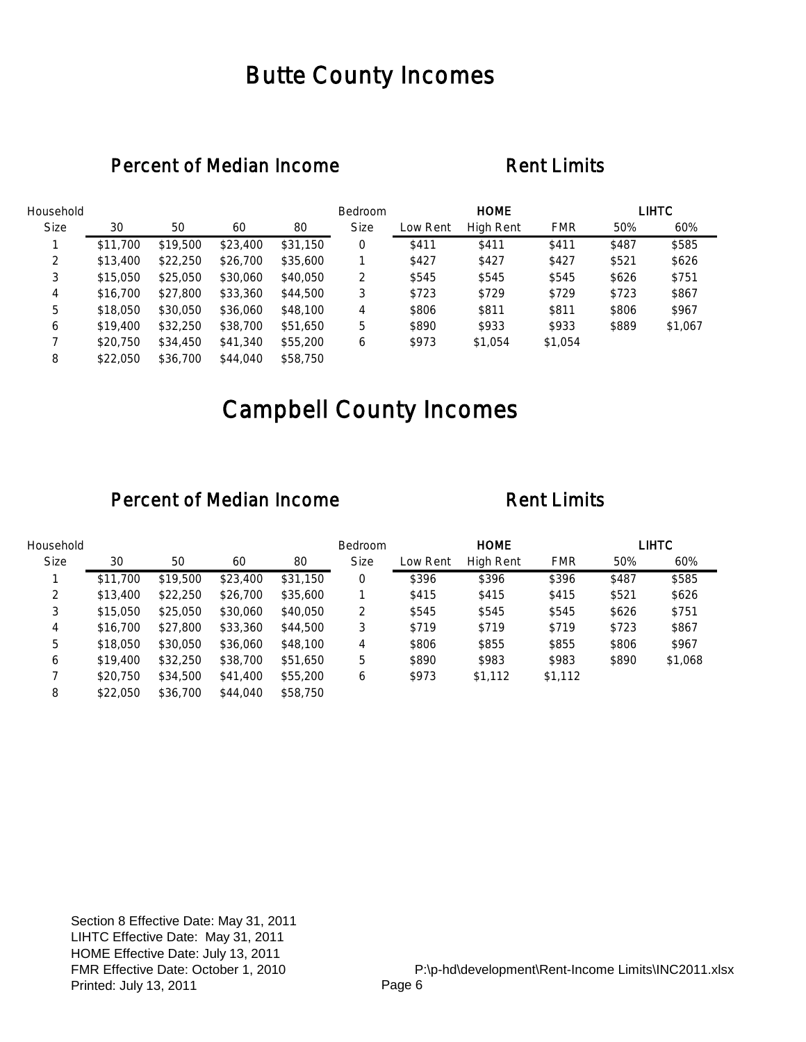## Butte County Incomes

### Percent of Median Income Rent Limits

| Household   |          |          |          |          | Bedroom     |          | <b>HOME</b>      |            |       | <b>LIHTC</b> |
|-------------|----------|----------|----------|----------|-------------|----------|------------------|------------|-------|--------------|
| <b>Size</b> | 30       | 50       | 60       | 80       | <b>Size</b> | Low Rent | <b>High Rent</b> | <b>FMR</b> | 50%   | 60%          |
|             | \$11,700 | \$19,500 | \$23,400 | \$31,150 | 0           | \$411    | \$411            | \$411      | \$487 | \$585        |
| 2           | \$13,400 | \$22,250 | \$26,700 | \$35,600 |             | \$427    | \$427            | \$427      | \$521 | \$626        |
| 3           | \$15,050 | \$25,050 | \$30,060 | \$40,050 | 2           | \$545    | \$545            | \$545      | \$626 | \$751        |
| 4           | \$16,700 | \$27,800 | \$33,360 | \$44,500 | 3           | \$723    | \$729            | \$729      | \$723 | \$867        |
| 5           | \$18,050 | \$30,050 | \$36,060 | \$48,100 | 4           | \$806    | \$811            | \$811      | \$806 | \$967        |
| 6           | \$19,400 | \$32,250 | \$38,700 | \$51,650 | 5           | \$890    | \$933            | \$933      | \$889 | \$1,067      |
|             | \$20,750 | \$34,450 | \$41,340 | \$55,200 | 6           | \$973    | \$1,054          | \$1,054    |       |              |
| 8           | \$22,050 | \$36,700 | \$44,040 | \$58,750 |             |          |                  |            |       |              |

# Campbell County Incomes

| Household   |          |          |          |          | <b>Bedroom</b> |          | <b>HOME</b> |            |       | LIHTC   |
|-------------|----------|----------|----------|----------|----------------|----------|-------------|------------|-------|---------|
| <b>Size</b> | 30       | 50       | 60       | 80       | <b>Size</b>    | Low Rent | High Rent   | <b>FMR</b> | 50%   | 60%     |
|             | \$11,700 | \$19,500 | \$23,400 | \$31,150 | 0              | \$396    | \$396       | \$396      | \$487 | \$585   |
| 2           | \$13,400 | \$22,250 | \$26,700 | \$35,600 |                | \$415    | \$415       | \$415      | \$521 | \$626   |
| 3           | \$15,050 | \$25,050 | \$30,060 | \$40,050 | 2              | \$545    | \$545       | \$545      | \$626 | \$751   |
| 4           | \$16,700 | \$27,800 | \$33,360 | \$44,500 | 3              | \$719    | \$719       | \$719      | \$723 | \$867   |
| 5           | \$18,050 | \$30,050 | \$36,060 | \$48,100 | 4              | \$806    | \$855       | \$855      | \$806 | \$967   |
| 6           | \$19,400 | \$32,250 | \$38,700 | \$51,650 | 5              | \$890    | \$983       | \$983      | \$890 | \$1,068 |
|             | \$20,750 | \$34,500 | \$41,400 | \$55,200 | 6              | \$973    | \$1,112     | \$1,112    |       |         |
| 8           | \$22,050 | \$36,700 | \$44,040 | \$58,750 |                |          |             |            |       |         |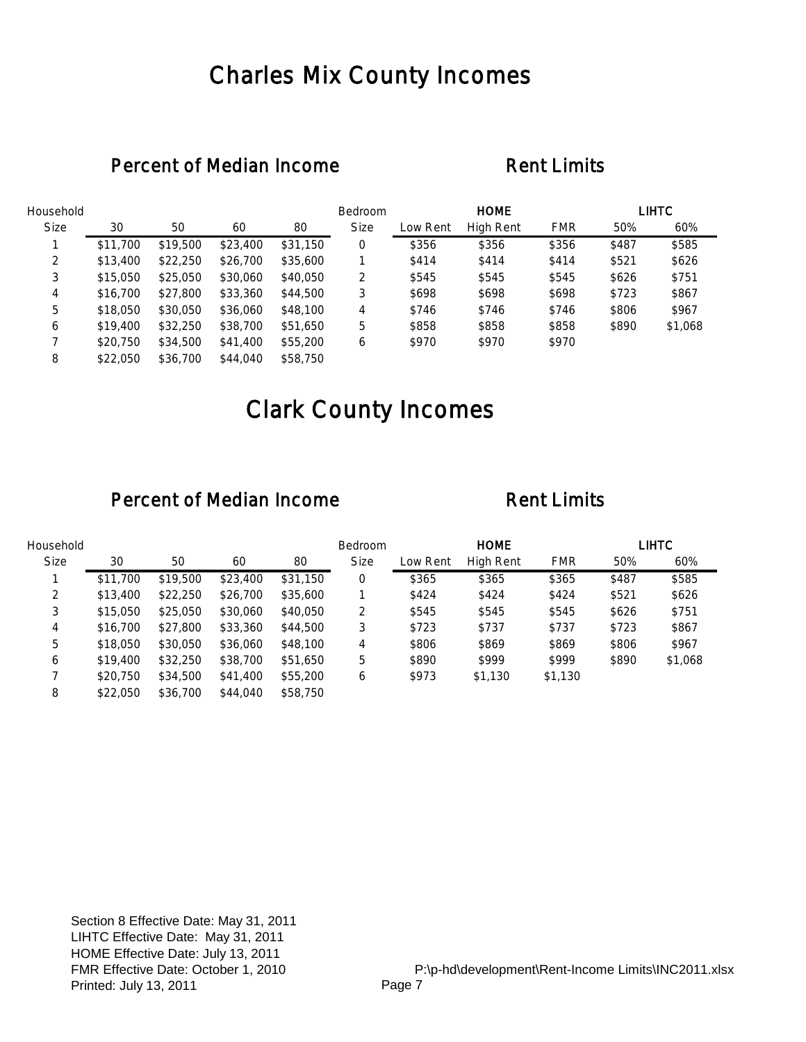## Charles Mix County Incomes

### Percent of Median Income Rent Limits

| Household   |          |          |          |          | Bedroom     |          | <b>HOME</b> |            |       | <b>LIHTC</b> |
|-------------|----------|----------|----------|----------|-------------|----------|-------------|------------|-------|--------------|
| <b>Size</b> | 30       | 50       | 60       | 80       | <b>Size</b> | Low Rent | High Rent   | <b>FMR</b> | 50%   | 60%          |
|             | \$11,700 | \$19,500 | \$23,400 | \$31,150 | 0           | \$356    | \$356       | \$356      | \$487 | \$585        |
| 2           | \$13,400 | \$22,250 | \$26,700 | \$35,600 |             | \$414    | \$414       | \$414      | \$521 | \$626        |
| 3           | \$15,050 | \$25,050 | \$30,060 | \$40,050 | 2           | \$545    | \$545       | \$545      | \$626 | \$751        |
| 4           | \$16,700 | \$27,800 | \$33,360 | \$44,500 | 3           | \$698    | \$698       | \$698      | \$723 | \$867        |
| 5           | \$18,050 | \$30,050 | \$36,060 | \$48,100 | 4           | \$746    | \$746       | \$746      | \$806 | \$967        |
| 6           | \$19,400 | \$32,250 | \$38,700 | \$51,650 | 5           | \$858    | \$858       | \$858      | \$890 | \$1,068      |
|             | \$20,750 | \$34,500 | \$41,400 | \$55,200 | 6           | \$970    | \$970       | \$970      |       |              |
| 8           | \$22,050 | \$36,700 | \$44,040 | \$58,750 |             |          |             |            |       |              |

# Clark County Incomes

| Household   |          |          |          |          | <b>Bedroom</b> |          | <b>HOME</b> |            |       | <b>LIHTC</b> |
|-------------|----------|----------|----------|----------|----------------|----------|-------------|------------|-------|--------------|
| <b>Size</b> | 30       | 50       | 60       | 80       | <b>Size</b>    | Low Rent | High Rent   | <b>FMR</b> | 50%   | 60%          |
|             | \$11,700 | \$19,500 | \$23,400 | \$31,150 | 0              | \$365    | \$365       | \$365      | \$487 | \$585        |
| 2           | \$13,400 | \$22,250 | \$26,700 | \$35,600 |                | \$424    | \$424       | \$424      | \$521 | \$626        |
| 3           | \$15,050 | \$25,050 | \$30,060 | \$40,050 | 2              | \$545    | \$545       | \$545      | \$626 | \$751        |
| 4           | \$16,700 | \$27,800 | \$33,360 | \$44,500 | 3              | \$723    | \$737       | \$737      | \$723 | \$867        |
| 5           | \$18,050 | \$30,050 | \$36,060 | \$48,100 | 4              | \$806    | \$869       | \$869      | \$806 | \$967        |
| 6           | \$19,400 | \$32,250 | \$38,700 | \$51,650 | 5              | \$890    | \$999       | \$999      | \$890 | \$1,068      |
|             | \$20,750 | \$34,500 | \$41,400 | \$55,200 | 6              | \$973    | \$1,130     | \$1,130    |       |              |
| 8           | \$22,050 | \$36,700 | \$44,040 | \$58,750 |                |          |             |            |       |              |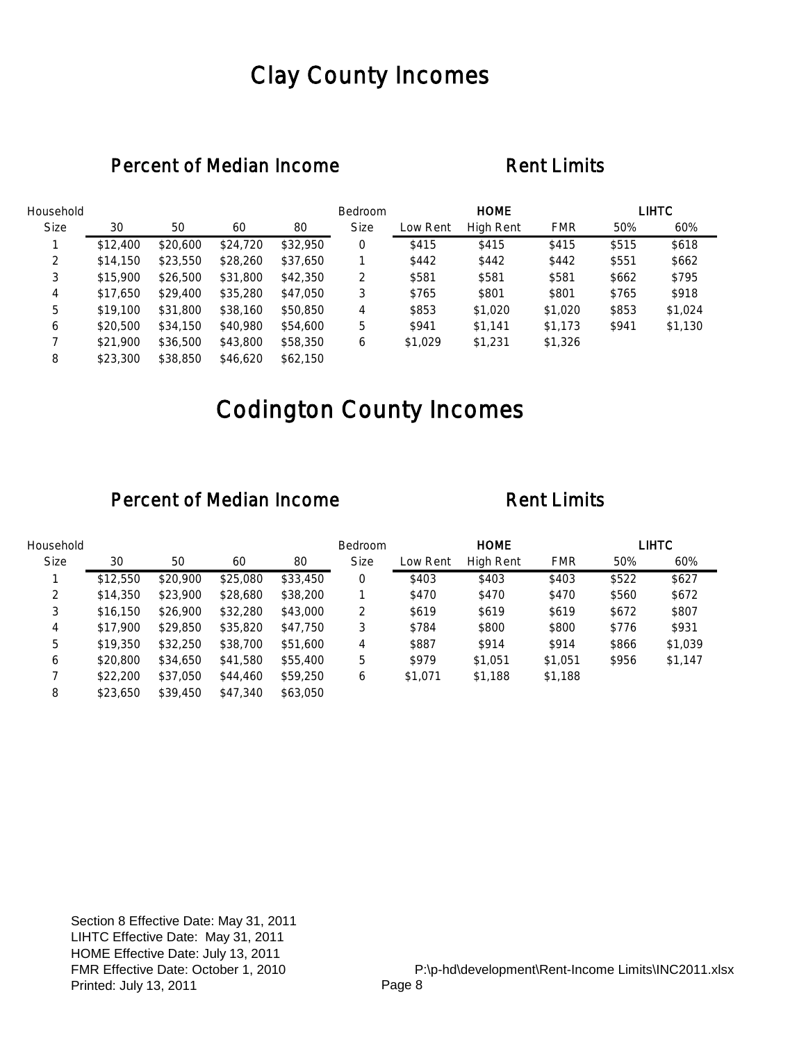## Clay County Incomes

### Percent of Median Income Rent Limits

| Household   |          |          |          |          | Bedroom     |          | <b>HOME</b> |            |       | <b>LIHTC</b> |
|-------------|----------|----------|----------|----------|-------------|----------|-------------|------------|-------|--------------|
| <b>Size</b> | 30       | 50       | 60       | 80       | <b>Size</b> | Low Rent | High Rent   | <b>FMR</b> | 50%   | 60%          |
|             | \$12,400 | \$20,600 | \$24,720 | \$32,950 | 0           | \$415    | \$415       | \$415      | \$515 | \$618        |
| 2           | \$14,150 | \$23,550 | \$28,260 | \$37,650 |             | \$442    | \$442       | \$442      | \$551 | \$662        |
| 3           | \$15,900 | \$26,500 | \$31,800 | \$42,350 | 2           | \$581    | \$581       | \$581      | \$662 | \$795        |
| 4           | \$17,650 | \$29,400 | \$35,280 | \$47,050 | 3           | \$765    | \$801       | \$801      | \$765 | \$918        |
| 5           | \$19,100 | \$31,800 | \$38,160 | \$50,850 | 4           | \$853    | \$1,020     | \$1,020    | \$853 | \$1,024      |
| 6           | \$20,500 | \$34,150 | \$40,980 | \$54,600 | 5           | \$941    | \$1.141     | \$1,173    | \$941 | \$1,130      |
|             | \$21,900 | \$36,500 | \$43,800 | \$58,350 | 6           | \$1,029  | \$1,231     | \$1,326    |       |              |
| 8           | \$23,300 | \$38,850 | \$46,620 | \$62,150 |             |          |             |            |       |              |

# Codington County Incomes

| Household   |          |          |          |          | Bedroom     |          | <b>HOME</b> |            |       | LIHTC   |
|-------------|----------|----------|----------|----------|-------------|----------|-------------|------------|-------|---------|
| <b>Size</b> | 30       | 50       | 60       | 80       | <b>Size</b> | Low Rent | High Rent   | <b>FMR</b> | 50%   | 60%     |
|             | \$12,550 | \$20,900 | \$25,080 | \$33,450 | 0           | \$403    | \$403       | \$403      | \$522 | \$627   |
| 2           | \$14,350 | \$23,900 | \$28,680 | \$38,200 |             | \$470    | \$470       | \$470      | \$560 | \$672   |
| 3           | \$16,150 | \$26,900 | \$32,280 | \$43,000 | 2           | \$619    | \$619       | \$619      | \$672 | \$807   |
| 4           | \$17,900 | \$29,850 | \$35,820 | \$47,750 | 3           | \$784    | \$800       | \$800      | \$776 | \$931   |
| 5           | \$19,350 | \$32,250 | \$38,700 | \$51,600 | 4           | \$887    | \$914       | \$914      | \$866 | \$1,039 |
| 6           | \$20,800 | \$34,650 | \$41,580 | \$55,400 | 5           | \$979    | \$1,051     | \$1,051    | \$956 | \$1,147 |
|             | \$22,200 | \$37,050 | \$44,460 | \$59,250 | 6           | \$1,071  | \$1,188     | \$1,188    |       |         |
| 8           | \$23,650 | \$39,450 | \$47,340 | \$63,050 |             |          |             |            |       |         |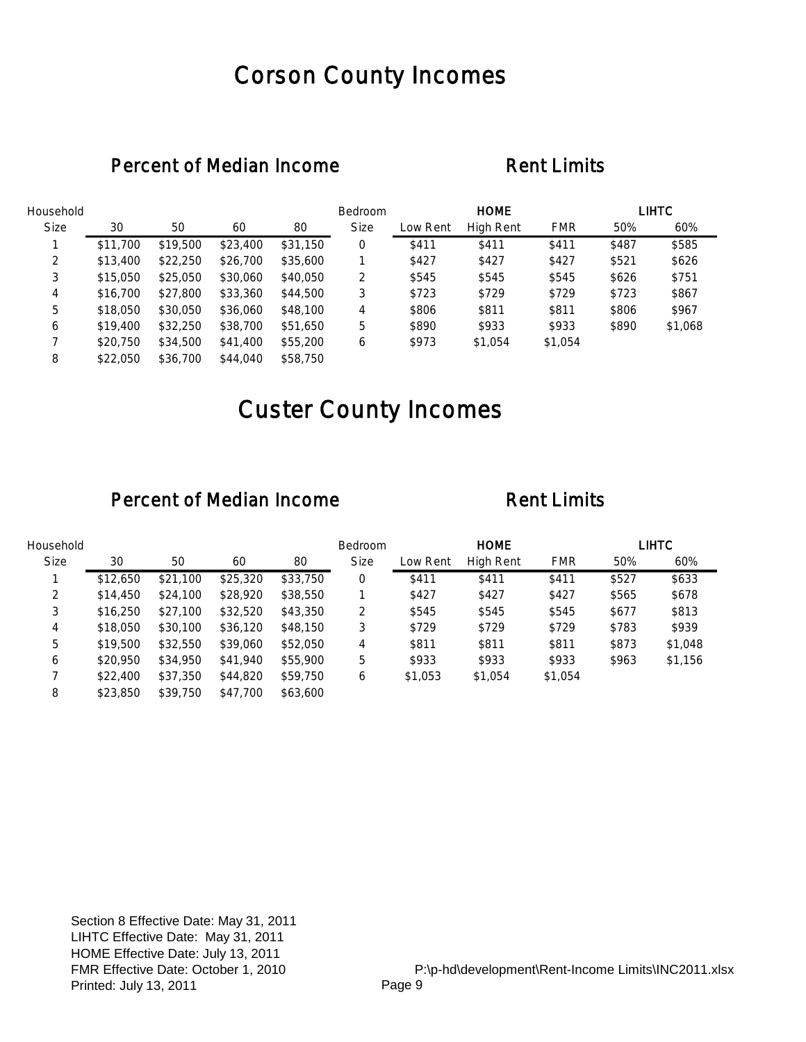## Corson County Incomes

### Percent of Median Income Rent Limits

| Household   |          |          |          |          | Bedroom     |          | <b>HOME</b> |            |       | <b>LIHTC</b> |
|-------------|----------|----------|----------|----------|-------------|----------|-------------|------------|-------|--------------|
| <b>Size</b> | 30       | 50       | 60       | 80       | <b>Size</b> | Low Rent | High Rent   | <b>FMR</b> | 50%   | 60%          |
|             | \$11,700 | \$19,500 | \$23,400 | \$31,150 | 0           | \$411    | \$411       | \$411      | \$487 | \$585        |
| 2           | \$13,400 | \$22,250 | \$26,700 | \$35,600 |             | \$427    | \$427       | \$427      | \$521 | \$626        |
| 3           | \$15,050 | \$25,050 | \$30,060 | \$40,050 | 2           | \$545    | \$545       | \$545      | \$626 | \$751        |
| 4           | \$16,700 | \$27,800 | \$33,360 | \$44,500 | 3           | \$723    | \$729       | \$729      | \$723 | \$867        |
| 5           | \$18,050 | \$30,050 | \$36,060 | \$48,100 | 4           | \$806    | \$811       | \$811      | \$806 | \$967        |
| 6           | \$19,400 | \$32,250 | \$38,700 | \$51,650 | 5           | \$890    | \$933       | \$933      | \$890 | \$1,068      |
|             | \$20,750 | \$34,500 | \$41,400 | \$55,200 | 6           | \$973    | \$1,054     | \$1,054    |       |              |
| 8           | \$22,050 | \$36,700 | \$44,040 | \$58,750 |             |          |             |            |       |              |

# Custer County Incomes

| Household   |          |          |          |          | Bedroom     |          | <b>HOME</b>      |            |       | LIHTC   |
|-------------|----------|----------|----------|----------|-------------|----------|------------------|------------|-------|---------|
| <b>Size</b> | 30       | 50       | 60       | 80       | <b>Size</b> | Low Rent | <b>High Rent</b> | <b>FMR</b> | 50%   | 60%     |
|             | \$12,650 | \$21,100 | \$25,320 | \$33,750 | 0           | \$411    | \$411            | \$411      | \$527 | \$633   |
| 2           | \$14,450 | \$24,100 | \$28,920 | \$38,550 |             | \$427    | \$427            | \$427      | \$565 | \$678   |
| 3           | \$16,250 | \$27,100 | \$32,520 | \$43,350 | 2           | \$545    | \$545            | \$545      | \$677 | \$813   |
| 4           | \$18,050 | \$30,100 | \$36,120 | \$48,150 | 3           | \$729    | \$729            | \$729      | \$783 | \$939   |
| 5           | \$19,500 | \$32,550 | \$39,060 | \$52,050 | 4           | \$811    | \$811            | \$811      | \$873 | \$1,048 |
| 6           | \$20,950 | \$34,950 | \$41,940 | \$55,900 | 5           | \$933    | \$933            | \$933      | \$963 | \$1,156 |
|             | \$22,400 | \$37,350 | \$44,820 | \$59,750 | 6           | \$1,053  | \$1,054          | \$1,054    |       |         |
| 8           | \$23,850 | \$39,750 | \$47,700 | \$63,600 |             |          |                  |            |       |         |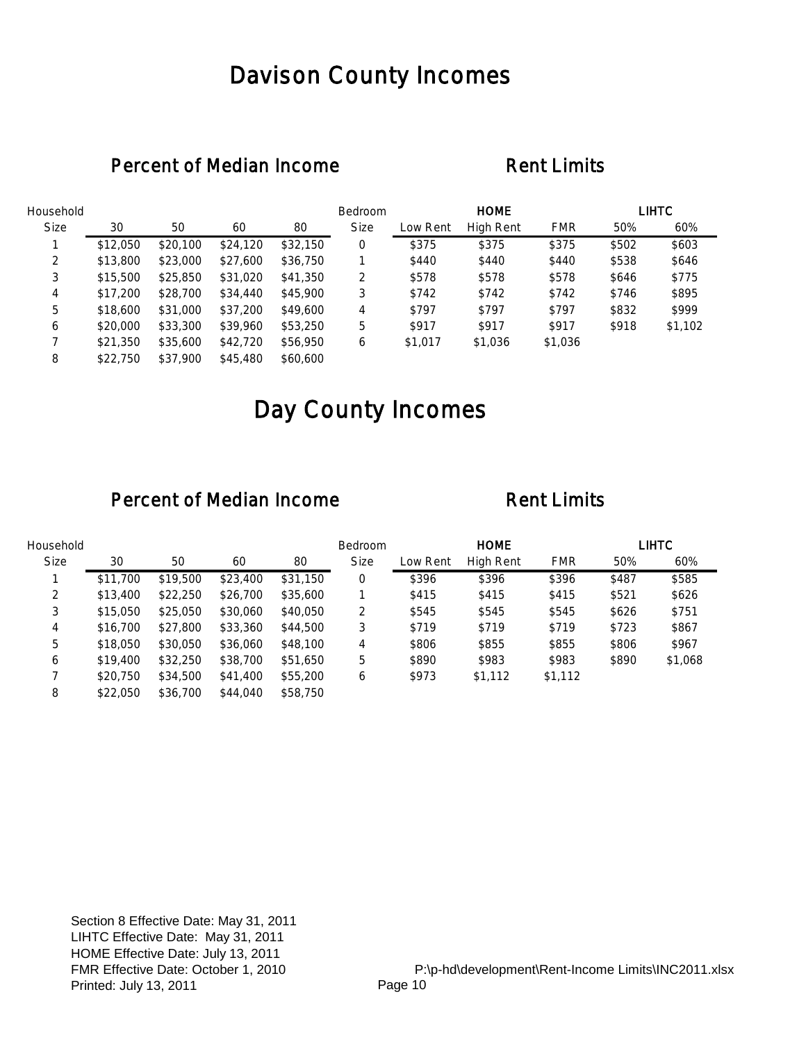## Davison County Incomes

### Percent of Median Income Rent Limits

| Household   |          |          |          |          | Bedroom     |          | <b>HOME</b> |            |       | LIHTC   |
|-------------|----------|----------|----------|----------|-------------|----------|-------------|------------|-------|---------|
| <b>Size</b> | 30       | 50       | 60       | 80       | <b>Size</b> | Low Rent | High Rent   | <b>FMR</b> | 50%   | 60%     |
|             | \$12,050 | \$20,100 | \$24,120 | \$32,150 | 0           | \$375    | \$375       | \$375      | \$502 | \$603   |
| 2           | \$13,800 | \$23,000 | \$27,600 | \$36,750 |             | \$440    | \$440       | \$440      | \$538 | \$646   |
| 3           | \$15,500 | \$25,850 | \$31,020 | \$41,350 | 2           | \$578    | \$578       | \$578      | \$646 | \$775   |
| 4           | \$17,200 | \$28,700 | \$34,440 | \$45,900 | 3           | \$742    | \$742       | \$742      | \$746 | \$895   |
| 5           | \$18,600 | \$31,000 | \$37,200 | \$49,600 | 4           | \$797    | \$797       | \$797      | \$832 | \$999   |
| 6           | \$20,000 | \$33,300 | \$39,960 | \$53,250 | 5           | \$917    | \$917       | \$917      | \$918 | \$1,102 |
|             | \$21,350 | \$35,600 | \$42,720 | \$56,950 | 6           | \$1,017  | \$1,036     | \$1,036    |       |         |
| 8           | \$22,750 | \$37,900 | \$45,480 | \$60,600 |             |          |             |            |       |         |

# Day County Incomes

| Household   |          |          |          |          | <b>Bedroom</b> |          | <b>HOME</b> |            |       | LIHTC   |
|-------------|----------|----------|----------|----------|----------------|----------|-------------|------------|-------|---------|
| <b>Size</b> | 30       | 50       | 60       | 80       | <b>Size</b>    | Low Rent | High Rent   | <b>FMR</b> | 50%   | 60%     |
|             | \$11,700 | \$19,500 | \$23,400 | \$31,150 | 0              | \$396    | \$396       | \$396      | \$487 | \$585   |
| 2           | \$13,400 | \$22,250 | \$26,700 | \$35,600 |                | \$415    | \$415       | \$415      | \$521 | \$626   |
| 3           | \$15,050 | \$25,050 | \$30,060 | \$40,050 | 2              | \$545    | \$545       | \$545      | \$626 | \$751   |
| 4           | \$16,700 | \$27,800 | \$33,360 | \$44,500 | 3              | \$719    | \$719       | \$719      | \$723 | \$867   |
| 5           | \$18,050 | \$30,050 | \$36,060 | \$48,100 | 4              | \$806    | \$855       | \$855      | \$806 | \$967   |
| 6           | \$19,400 | \$32,250 | \$38,700 | \$51,650 | 5              | \$890    | \$983       | \$983      | \$890 | \$1,068 |
|             | \$20,750 | \$34,500 | \$41,400 | \$55,200 | 6              | \$973    | \$1,112     | \$1,112    |       |         |
| 8           | \$22,050 | \$36,700 | \$44,040 | \$58,750 |                |          |             |            |       |         |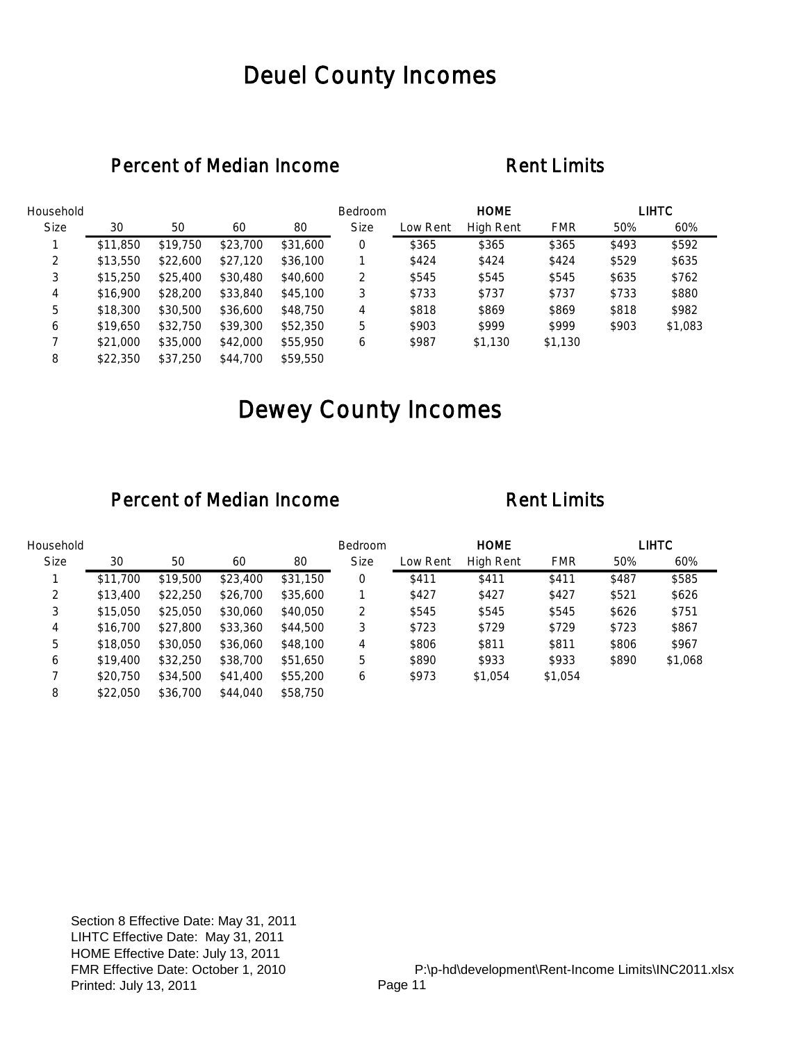## Deuel County Incomes

### Percent of Median Income Rent Limits

| Household   |          |          |          |          | Bedroom     |          | <b>HOME</b> |            |       | <b>LIHTC</b> |
|-------------|----------|----------|----------|----------|-------------|----------|-------------|------------|-------|--------------|
| <b>Size</b> | 30       | 50       | 60       | 80       | <b>Size</b> | Low Rent | High Rent   | <b>FMR</b> | 50%   | 60%          |
|             | \$11,850 | \$19,750 | \$23,700 | \$31,600 | 0           | \$365    | \$365       | \$365      | \$493 | \$592        |
| 2           | \$13,550 | \$22,600 | \$27,120 | \$36,100 |             | \$424    | \$424       | \$424      | \$529 | \$635        |
| 3           | \$15,250 | \$25,400 | \$30,480 | \$40,600 | 2           | \$545    | \$545       | \$545      | \$635 | \$762        |
| 4           | \$16,900 | \$28,200 | \$33,840 | \$45,100 | 3           | \$733    | \$737       | \$737      | \$733 | \$880        |
| 5           | \$18,300 | \$30,500 | \$36,600 | \$48,750 | 4           | \$818    | \$869       | \$869      | \$818 | \$982        |
| 6           | \$19,650 | \$32,750 | \$39,300 | \$52,350 | 5           | \$903    | \$999       | \$999      | \$903 | \$1,083      |
|             | \$21,000 | \$35,000 | \$42,000 | \$55,950 | 6           | \$987    | \$1,130     | \$1,130    |       |              |
| 8           | \$22,350 | \$37.250 | \$44,700 | \$59,550 |             |          |             |            |       |              |

# Dewey County Incomes

| Household   |          |          |          |          | <b>Bedroom</b> |          | <b>HOME</b> |            |       | LIHTC   |
|-------------|----------|----------|----------|----------|----------------|----------|-------------|------------|-------|---------|
| <b>Size</b> | 30       | 50       | 60       | 80       | <b>Size</b>    | Low Rent | High Rent   | <b>FMR</b> | 50%   | 60%     |
|             | \$11,700 | \$19,500 | \$23,400 | \$31,150 | 0              | \$411    | \$411       | \$411      | \$487 | \$585   |
| 2           | \$13,400 | \$22,250 | \$26,700 | \$35,600 |                | \$427    | \$427       | \$427      | \$521 | \$626   |
| 3           | \$15,050 | \$25,050 | \$30,060 | \$40,050 | 2              | \$545    | \$545       | \$545      | \$626 | \$751   |
| 4           | \$16,700 | \$27,800 | \$33,360 | \$44,500 | 3              | \$723    | \$729       | \$729      | \$723 | \$867   |
| 5           | \$18,050 | \$30,050 | \$36,060 | \$48,100 | 4              | \$806    | \$811       | \$811      | \$806 | \$967   |
| 6           | \$19,400 | \$32,250 | \$38,700 | \$51,650 | 5              | \$890    | \$933       | \$933      | \$890 | \$1,068 |
|             | \$20,750 | \$34,500 | \$41,400 | \$55,200 | 6              | \$973    | \$1,054     | \$1,054    |       |         |
| 8           | \$22,050 | \$36,700 | \$44,040 | \$58,750 |                |          |             |            |       |         |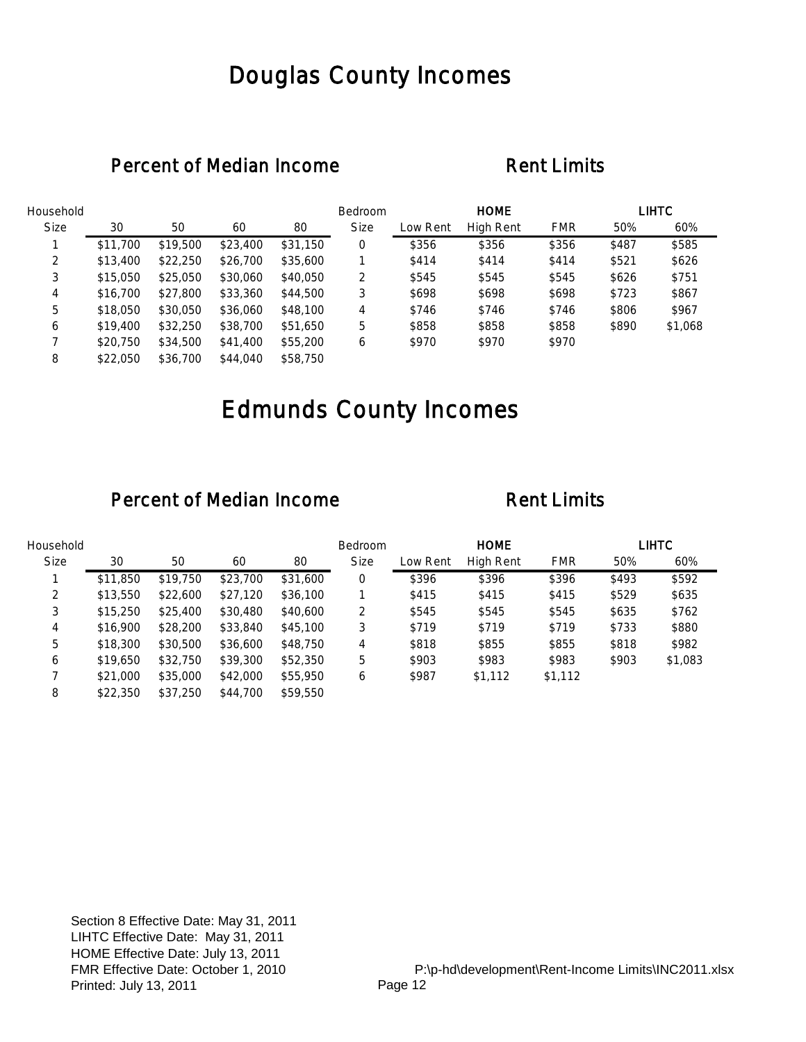## Douglas County Incomes

### Percent of Median Income Rent Limits

| Household   |          |          |          |          | Bedroom     |          | <b>HOME</b> |            |       | <b>LIHTC</b> |
|-------------|----------|----------|----------|----------|-------------|----------|-------------|------------|-------|--------------|
| <b>Size</b> | 30       | 50       | 60       | 80       | <b>Size</b> | Low Rent | High Rent   | <b>FMR</b> | 50%   | 60%          |
|             | \$11,700 | \$19,500 | \$23,400 | \$31,150 | 0           | \$356    | \$356       | \$356      | \$487 | \$585        |
| 2           | \$13,400 | \$22,250 | \$26,700 | \$35,600 |             | \$414    | \$414       | \$414      | \$521 | \$626        |
| 3           | \$15,050 | \$25,050 | \$30,060 | \$40,050 | 2           | \$545    | \$545       | \$545      | \$626 | \$751        |
| 4           | \$16,700 | \$27,800 | \$33,360 | \$44,500 | 3           | \$698    | \$698       | \$698      | \$723 | \$867        |
| 5           | \$18,050 | \$30,050 | \$36,060 | \$48,100 | 4           | \$746    | \$746       | \$746      | \$806 | \$967        |
| 6           | \$19,400 | \$32,250 | \$38,700 | \$51,650 | 5           | \$858    | \$858       | \$858      | \$890 | \$1,068      |
|             | \$20,750 | \$34,500 | \$41,400 | \$55,200 | 6           | \$970    | \$970       | \$970      |       |              |
| 8           | \$22,050 | \$36,700 | \$44,040 | \$58,750 |             |          |             |            |       |              |

# Edmunds County Incomes

| Household   |          |          |          |          | <b>Bedroom</b> |          | <b>HOME</b> |            |       | LIHTC   |
|-------------|----------|----------|----------|----------|----------------|----------|-------------|------------|-------|---------|
| <b>Size</b> | 30       | 50       | 60       | 80       | <b>Size</b>    | Low Rent | High Rent   | <b>FMR</b> | 50%   | 60%     |
|             | \$11,850 | \$19,750 | \$23,700 | \$31,600 | 0              | \$396    | \$396       | \$396      | \$493 | \$592   |
| 2           | \$13,550 | \$22,600 | \$27,120 | \$36,100 |                | \$415    | \$415       | \$415      | \$529 | \$635   |
| 3           | \$15,250 | \$25,400 | \$30,480 | \$40,600 | 2              | \$545    | \$545       | \$545      | \$635 | \$762   |
| 4           | \$16,900 | \$28,200 | \$33,840 | \$45,100 | 3              | \$719    | \$719       | \$719      | \$733 | \$880   |
| 5           | \$18,300 | \$30,500 | \$36,600 | \$48,750 | 4              | \$818    | \$855       | \$855      | \$818 | \$982   |
| 6           | \$19,650 | \$32,750 | \$39,300 | \$52,350 | 5              | \$903    | \$983       | \$983      | \$903 | \$1,083 |
|             | \$21,000 | \$35,000 | \$42,000 | \$55,950 | 6              | \$987    | \$1,112     | \$1,112    |       |         |
| 8           | \$22,350 | \$37,250 | \$44,700 | \$59,550 |                |          |             |            |       |         |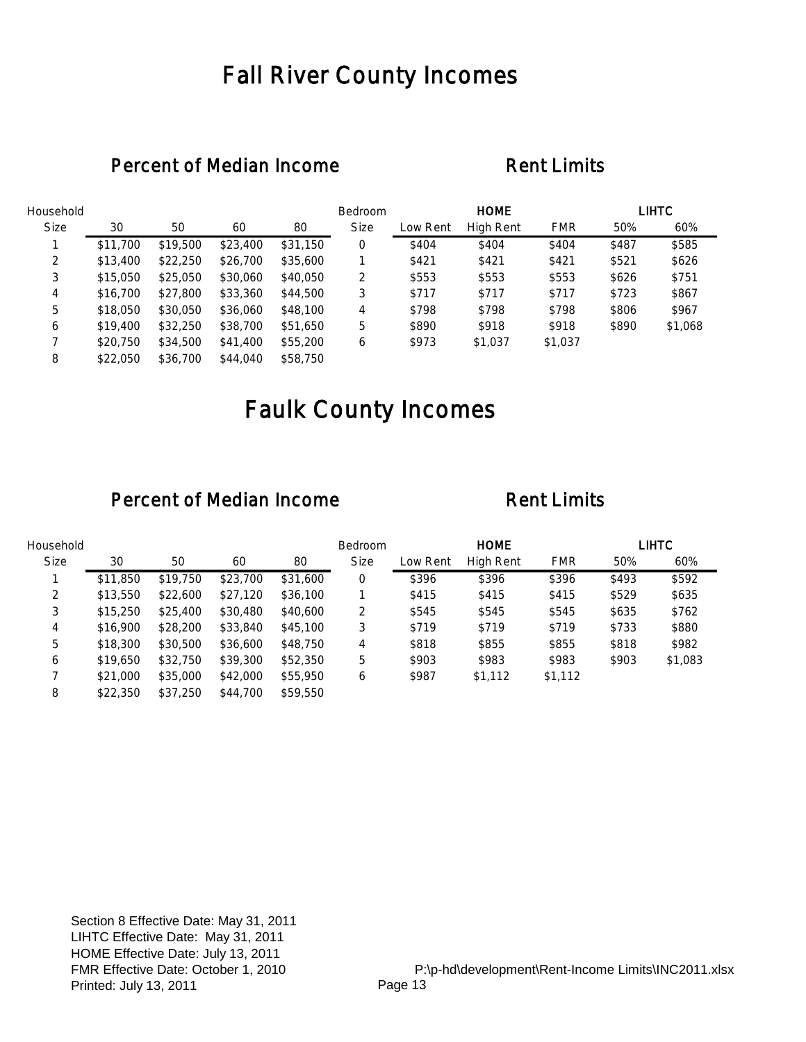## Fall River County Incomes

### Percent of Median Income Rent Limits

| Household   |          |          |          |          | Bedroom     |          | <b>HOME</b> |            |       | <b>LIHTC</b> |
|-------------|----------|----------|----------|----------|-------------|----------|-------------|------------|-------|--------------|
| <b>Size</b> | 30       | 50       | 60       | 80       | <b>Size</b> | Low Rent | High Rent   | <b>FMR</b> | 50%   | 60%          |
|             | \$11,700 | \$19,500 | \$23,400 | \$31,150 | 0           | \$404    | \$404       | \$404      | \$487 | \$585        |
| 2           | \$13,400 | \$22,250 | \$26,700 | \$35,600 |             | \$421    | \$421       | \$421      | \$521 | \$626        |
| 3           | \$15,050 | \$25,050 | \$30,060 | \$40,050 | 2           | \$553    | \$553       | \$553      | \$626 | \$751        |
| 4           | \$16,700 | \$27,800 | \$33,360 | \$44,500 | 3           | \$717    | \$717       | \$717      | \$723 | \$867        |
| 5           | \$18,050 | \$30,050 | \$36,060 | \$48,100 | 4           | \$798    | \$798       | \$798      | \$806 | \$967        |
| 6           | \$19,400 | \$32,250 | \$38,700 | \$51,650 | 5           | \$890    | \$918       | \$918      | \$890 | \$1,068      |
|             | \$20,750 | \$34,500 | \$41,400 | \$55,200 | 6           | \$973    | \$1,037     | \$1,037    |       |              |
| 8           | \$22,050 | \$36,700 | \$44,040 | \$58,750 |             |          |             |            |       |              |

# Faulk County Incomes

| Household   |          |          |          |          | <b>Bedroom</b> |          | <b>HOME</b> |            |       | LIHTC   |
|-------------|----------|----------|----------|----------|----------------|----------|-------------|------------|-------|---------|
| <b>Size</b> | 30       | 50       | 60       | 80       | <b>Size</b>    | Low Rent | High Rent   | <b>FMR</b> | 50%   | 60%     |
|             | \$11,850 | \$19,750 | \$23,700 | \$31,600 | 0              | \$396    | \$396       | \$396      | \$493 | \$592   |
| 2           | \$13,550 | \$22,600 | \$27,120 | \$36,100 |                | \$415    | \$415       | \$415      | \$529 | \$635   |
| 3           | \$15,250 | \$25,400 | \$30,480 | \$40,600 | 2              | \$545    | \$545       | \$545      | \$635 | \$762   |
| 4           | \$16,900 | \$28,200 | \$33,840 | \$45,100 | 3              | \$719    | \$719       | \$719      | \$733 | \$880   |
| 5           | \$18,300 | \$30,500 | \$36,600 | \$48,750 | 4              | \$818    | \$855       | \$855      | \$818 | \$982   |
| 6           | \$19,650 | \$32,750 | \$39,300 | \$52,350 | 5              | \$903    | \$983       | \$983      | \$903 | \$1,083 |
|             | \$21,000 | \$35,000 | \$42,000 | \$55,950 | 6              | \$987    | \$1,112     | \$1,112    |       |         |
| 8           | \$22,350 | \$37,250 | \$44,700 | \$59,550 |                |          |             |            |       |         |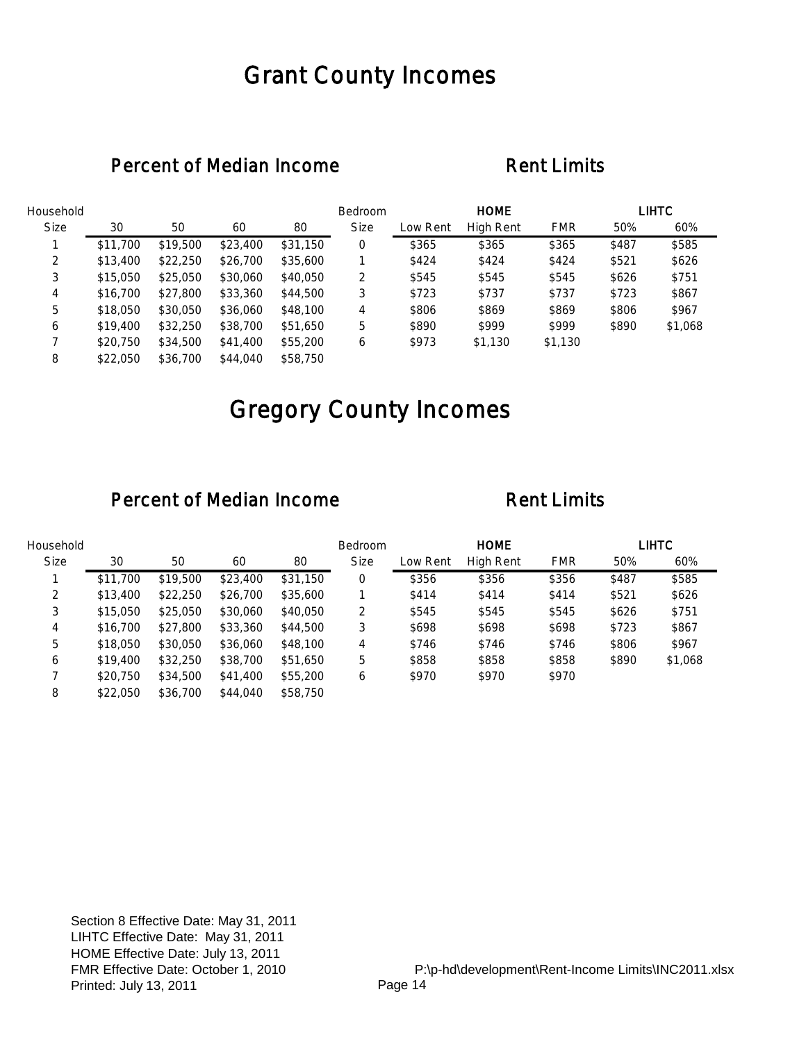## Grant County Incomes

### Percent of Median Income Rent Limits

| Household   |          |          |          |          | Bedroom     |          | <b>HOME</b> |            |       | <b>LIHTC</b> |
|-------------|----------|----------|----------|----------|-------------|----------|-------------|------------|-------|--------------|
| <b>Size</b> | 30       | 50       | 60       | 80       | <b>Size</b> | Low Rent | High Rent   | <b>FMR</b> | 50%   | 60%          |
|             | \$11,700 | \$19,500 | \$23,400 | \$31,150 | 0           | \$365    | \$365       | \$365      | \$487 | \$585        |
| 2           | \$13,400 | \$22,250 | \$26,700 | \$35,600 |             | \$424    | \$424       | \$424      | \$521 | \$626        |
| 3           | \$15,050 | \$25,050 | \$30,060 | \$40,050 | 2           | \$545    | \$545       | \$545      | \$626 | \$751        |
| 4           | \$16,700 | \$27,800 | \$33,360 | \$44,500 | 3           | \$723    | \$737       | \$737      | \$723 | \$867        |
| 5           | \$18,050 | \$30,050 | \$36,060 | \$48,100 | 4           | \$806    | \$869       | \$869      | \$806 | \$967        |
| 6           | \$19,400 | \$32,250 | \$38,700 | \$51,650 | 5           | \$890    | \$999       | \$999      | \$890 | \$1,068      |
|             | \$20,750 | \$34,500 | \$41,400 | \$55,200 | 6           | \$973    | \$1,130     | \$1,130    |       |              |
| 8           | \$22,050 | \$36,700 | \$44,040 | \$58,750 |             |          |             |            |       |              |

# Gregory County Incomes

| Household   |          |          |          |          | Bedroom     |          | <b>HOME</b>      |            |       | <b>LIHTC</b> |
|-------------|----------|----------|----------|----------|-------------|----------|------------------|------------|-------|--------------|
| <b>Size</b> | 30       | 50       | 60       | 80       | <b>Size</b> | Low Rent | <b>High Rent</b> | <b>FMR</b> | 50%   | 60%          |
|             | \$11,700 | \$19,500 | \$23,400 | \$31,150 | 0           | \$356    | \$356            | \$356      | \$487 | \$585        |
| 2           | \$13,400 | \$22,250 | \$26,700 | \$35,600 |             | \$414    | \$414            | \$414      | \$521 | \$626        |
| 3           | \$15,050 | \$25,050 | \$30,060 | \$40,050 | 2           | \$545    | \$545            | \$545      | \$626 | \$751        |
| 4           | \$16,700 | \$27,800 | \$33,360 | \$44,500 | 3           | \$698    | \$698            | \$698      | \$723 | \$867        |
| 5           | \$18,050 | \$30,050 | \$36,060 | \$48,100 | 4           | \$746    | \$746            | \$746      | \$806 | \$967        |
| 6           | \$19,400 | \$32,250 | \$38,700 | \$51,650 | 5           | \$858    | \$858            | \$858      | \$890 | \$1,068      |
|             | \$20,750 | \$34,500 | \$41,400 | \$55,200 | 6           | \$970    | \$970            | \$970      |       |              |
| 8           | \$22,050 | \$36,700 | \$44,040 | \$58,750 |             |          |                  |            |       |              |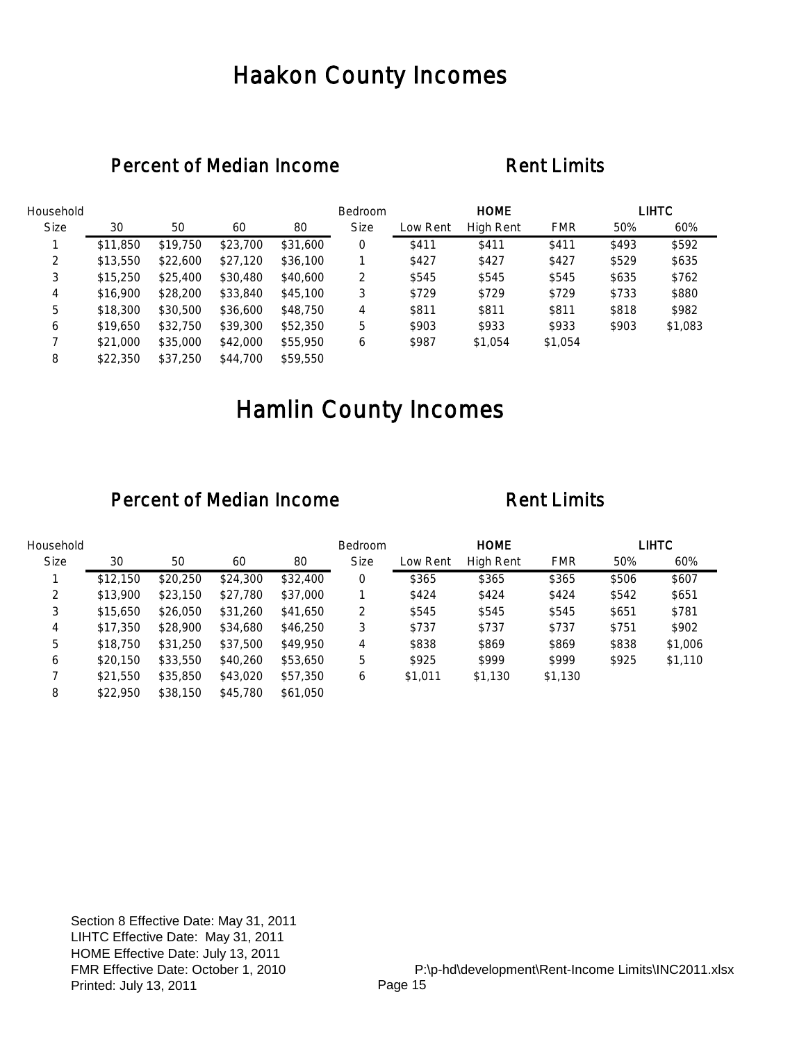## Haakon County Incomes

### Percent of Median Income Rent Limits

| Household   |          |          |          |          | Bedroom     |          | <b>HOME</b> |            |       | <b>LIHTC</b> |
|-------------|----------|----------|----------|----------|-------------|----------|-------------|------------|-------|--------------|
| <b>Size</b> | 30       | 50       | 60       | 80       | <b>Size</b> | Low Rent | High Rent   | <b>FMR</b> | 50%   | 60%          |
|             | \$11,850 | \$19,750 | \$23,700 | \$31,600 | 0           | \$411    | \$411       | \$411      | \$493 | \$592        |
| 2           | \$13,550 | \$22,600 | \$27,120 | \$36,100 |             | \$427    | \$427       | \$427      | \$529 | \$635        |
| 3           | \$15,250 | \$25,400 | \$30,480 | \$40,600 | 2           | \$545    | \$545       | \$545      | \$635 | \$762        |
| 4           | \$16,900 | \$28,200 | \$33,840 | \$45,100 | 3           | \$729    | \$729       | \$729      | \$733 | \$880        |
| 5           | \$18,300 | \$30,500 | \$36,600 | \$48,750 | 4           | \$811    | \$811       | \$811      | \$818 | \$982        |
| 6           | \$19,650 | \$32,750 | \$39,300 | \$52,350 | 5           | \$903    | \$933       | \$933      | \$903 | \$1,083      |
|             | \$21,000 | \$35,000 | \$42,000 | \$55,950 | 6           | \$987    | \$1,054     | \$1,054    |       |              |
| 8           | \$22,350 | \$37,250 | \$44,700 | \$59,550 |             |          |             |            |       |              |

# Hamlin County Incomes

| Household   |          |          |          |          | Bedroom     |          | <b>HOME</b> |            |       | <b>LIHTC</b> |
|-------------|----------|----------|----------|----------|-------------|----------|-------------|------------|-------|--------------|
| <b>Size</b> | 30       | 50       | 60       | 80       | <b>Size</b> | Low Rent | High Rent   | <b>FMR</b> | 50%   | 60%          |
|             | \$12,150 | \$20,250 | \$24,300 | \$32,400 | 0           | \$365    | \$365       | \$365      | \$506 | \$607        |
| 2           | \$13,900 | \$23,150 | \$27,780 | \$37,000 |             | \$424    | \$424       | \$424      | \$542 | \$651        |
| 3           | \$15,650 | \$26,050 | \$31,260 | \$41,650 | 2           | \$545    | \$545       | \$545      | \$651 | \$781        |
| 4           | \$17,350 | \$28,900 | \$34,680 | \$46,250 | 3           | \$737    | \$737       | \$737      | \$751 | \$902        |
| 5           | \$18,750 | \$31,250 | \$37,500 | \$49,950 | 4           | \$838    | \$869       | \$869      | \$838 | \$1,006      |
| 6           | \$20,150 | \$33,550 | \$40,260 | \$53,650 | 5           | \$925    | \$999       | \$999      | \$925 | \$1,110      |
|             | \$21,550 | \$35,850 | \$43,020 | \$57,350 | 6           | \$1,011  | \$1,130     | \$1,130    |       |              |
| 8           | \$22,950 | \$38,150 | \$45,780 | \$61,050 |             |          |             |            |       |              |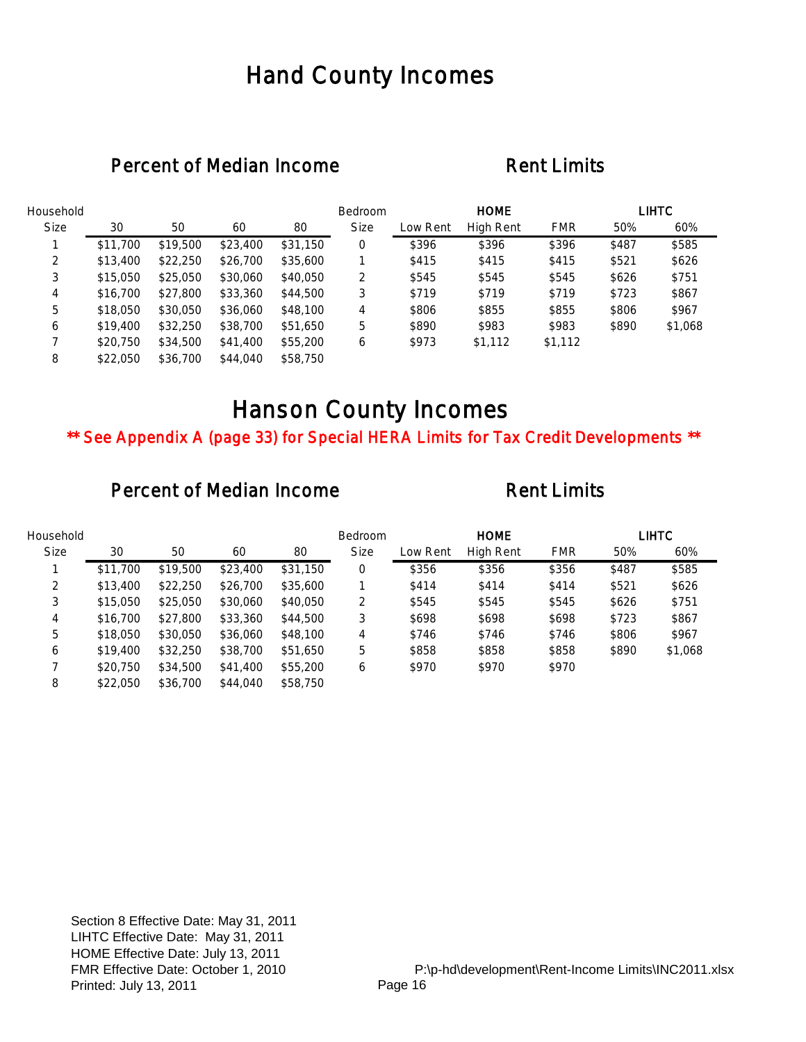## Hand County Incomes

### Percent of Median Income Rent Limits

| Household   |          |          |          |          | Bedroom     |          | <b>HOME</b> |            |       | LIHTC   |
|-------------|----------|----------|----------|----------|-------------|----------|-------------|------------|-------|---------|
| <b>Size</b> | 30       | 50       | 60       | 80       | <b>Size</b> | Low Rent | High Rent   | <b>FMR</b> | 50%   | 60%     |
|             | \$11,700 | \$19,500 | \$23,400 | \$31,150 | 0           | \$396    | \$396       | \$396      | \$487 | \$585   |
| 2           | \$13,400 | \$22,250 | \$26,700 | \$35,600 |             | \$415    | \$415       | \$415      | \$521 | \$626   |
| 3           | \$15,050 | \$25,050 | \$30,060 | \$40,050 | 2           | \$545    | \$545       | \$545      | \$626 | \$751   |
| 4           | \$16,700 | \$27,800 | \$33,360 | \$44,500 | 3           | \$719    | \$719       | \$719      | \$723 | \$867   |
| 5           | \$18,050 | \$30,050 | \$36,060 | \$48,100 | 4           | \$806    | \$855       | \$855      | \$806 | \$967   |
| 6           | \$19,400 | \$32,250 | \$38,700 | \$51,650 | 5           | \$890    | \$983       | \$983      | \$890 | \$1,068 |
|             | \$20,750 | \$34,500 | \$41,400 | \$55,200 | 6           | \$973    | \$1,112     | \$1,112    |       |         |
| 8           | \$22,050 | \$36,700 | \$44,040 | \$58,750 |             |          |             |            |       |         |

## Hanson County Incomes

\*\* See Appendix A (page 33) for Special HERA Limits for Tax Credit Developments \*\*

| Household   |          |          |          |          | <b>Bedroom</b> |          | <b>HOME</b> |            |       | <b>LIHTC</b> |
|-------------|----------|----------|----------|----------|----------------|----------|-------------|------------|-------|--------------|
| <b>Size</b> | 30       | 50       | 60       | 80       | <b>Size</b>    | Low Rent | High Rent   | <b>FMR</b> | 50%   | 60%          |
|             | \$11,700 | \$19,500 | \$23,400 | \$31,150 | 0              | \$356    | \$356       | \$356      | \$487 | \$585        |
| 2           | \$13,400 | \$22,250 | \$26,700 | \$35,600 |                | \$414    | \$414       | \$414      | \$521 | \$626        |
| 3           | \$15,050 | \$25,050 | \$30,060 | \$40,050 | 2              | \$545    | \$545       | \$545      | \$626 | \$751        |
| 4           | \$16,700 | \$27,800 | \$33,360 | \$44,500 | 3              | \$698    | \$698       | \$698      | \$723 | \$867        |
| 5           | \$18,050 | \$30,050 | \$36,060 | \$48,100 | 4              | \$746    | \$746       | \$746      | \$806 | \$967        |
| 6           | \$19,400 | \$32,250 | \$38,700 | \$51,650 | 5              | \$858    | \$858       | \$858      | \$890 | \$1,068      |
|             | \$20,750 | \$34,500 | \$41,400 | \$55,200 | 6              | \$970    | \$970       | \$970      |       |              |
| 8           | \$22,050 | \$36,700 | \$44,040 | \$58,750 |                |          |             |            |       |              |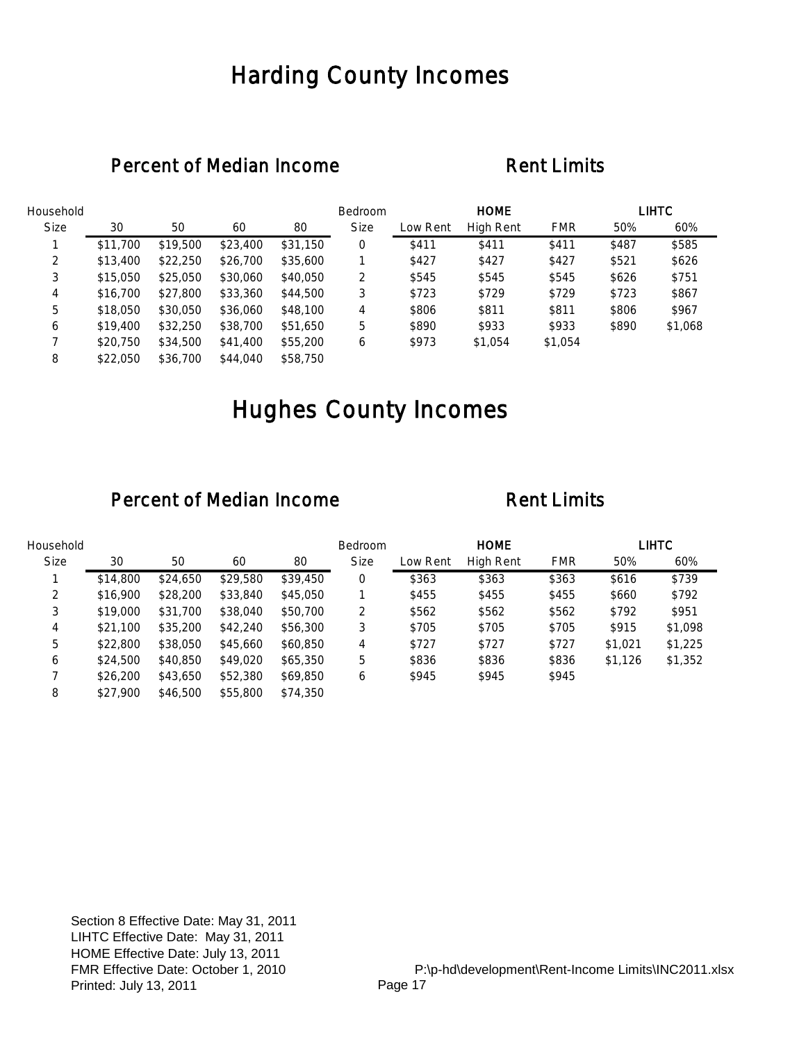## Harding County Incomes

### Percent of Median Income Rent Limits

| Household   |          |          |          |          | Bedroom     |          | <b>HOME</b> |            |       | <b>LIHTC</b> |
|-------------|----------|----------|----------|----------|-------------|----------|-------------|------------|-------|--------------|
| <b>Size</b> | 30       | 50       | 60       | 80       | <b>Size</b> | Low Rent | High Rent   | <b>FMR</b> | 50%   | 60%          |
|             | \$11,700 | \$19,500 | \$23,400 | \$31,150 | 0           | \$411    | \$411       | \$411      | \$487 | \$585        |
| 2           | \$13,400 | \$22,250 | \$26,700 | \$35,600 |             | \$427    | \$427       | \$427      | \$521 | \$626        |
| 3           | \$15,050 | \$25,050 | \$30,060 | \$40,050 | 2           | \$545    | \$545       | \$545      | \$626 | \$751        |
| 4           | \$16,700 | \$27,800 | \$33,360 | \$44,500 | 3           | \$723    | \$729       | \$729      | \$723 | \$867        |
| 5           | \$18,050 | \$30,050 | \$36,060 | \$48,100 | 4           | \$806    | \$811       | \$811      | \$806 | \$967        |
| 6           | \$19,400 | \$32,250 | \$38,700 | \$51,650 | 5           | \$890    | \$933       | \$933      | \$890 | \$1,068      |
|             | \$20,750 | \$34,500 | \$41,400 | \$55,200 | 6           | \$973    | \$1,054     | \$1,054    |       |              |
| 8           | \$22,050 | \$36,700 | \$44,040 | \$58,750 |             |          |             |            |       |              |

# Hughes County Incomes

| Household   |          |          |          |          | <b>Bedroom</b> |          | <b>HOME</b>      |            |         | LIHTC   |
|-------------|----------|----------|----------|----------|----------------|----------|------------------|------------|---------|---------|
| <b>Size</b> | 30       | 50       | 60       | 80       | <b>Size</b>    | Low Rent | <b>High Rent</b> | <b>FMR</b> | 50%     | 60%     |
|             | \$14,800 | \$24,650 | \$29,580 | \$39,450 | 0              | \$363    | \$363            | \$363      | \$616   | \$739   |
| 2           | \$16,900 | \$28,200 | \$33,840 | \$45,050 |                | \$455    | \$455            | \$455      | \$660   | \$792   |
| 3           | \$19,000 | \$31,700 | \$38,040 | \$50,700 | 2              | \$562    | \$562            | \$562      | \$792   | \$951   |
| 4           | \$21,100 | \$35,200 | \$42,240 | \$56,300 | 3              | \$705    | \$705            | \$705      | \$915   | \$1,098 |
| 5           | \$22,800 | \$38,050 | \$45,660 | \$60,850 | 4              | \$727    | \$727            | \$727      | \$1,021 | \$1,225 |
| 6           | \$24,500 | \$40,850 | \$49,020 | \$65,350 | 5              | \$836    | \$836            | \$836      | \$1,126 | \$1,352 |
|             | \$26,200 | \$43,650 | \$52,380 | \$69,850 | 6              | \$945    | \$945            | \$945      |         |         |
| 8           | \$27,900 | \$46,500 | \$55,800 | \$74,350 |                |          |                  |            |         |         |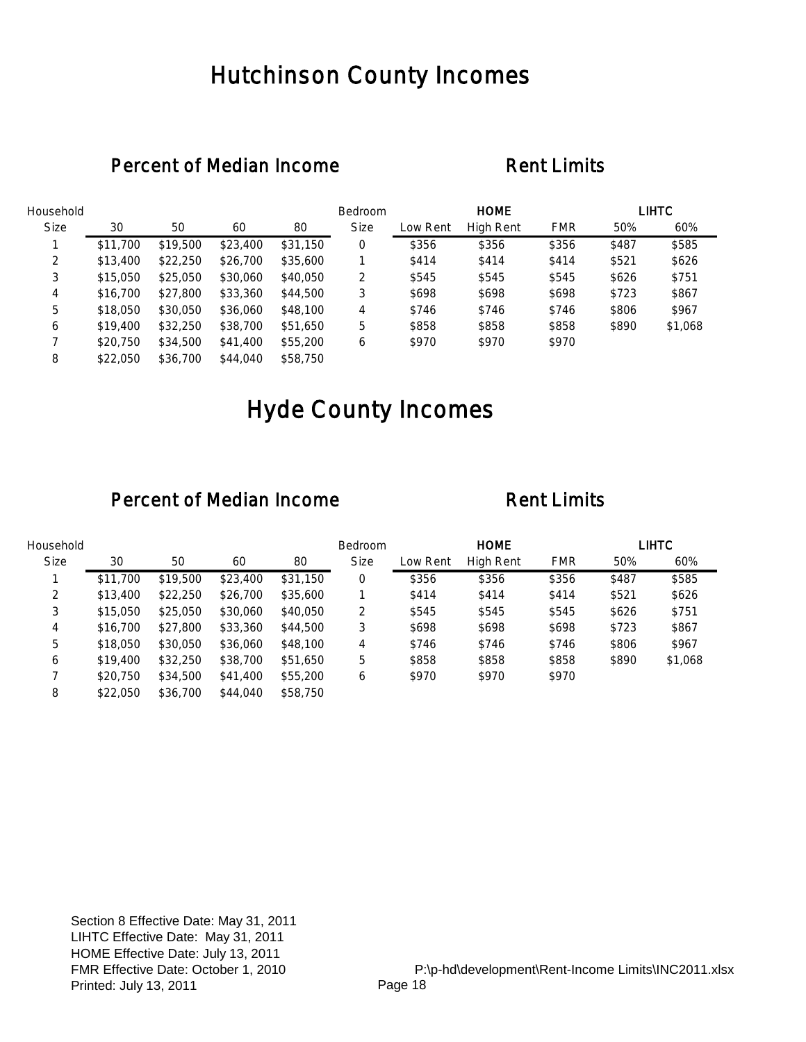## Hutchinson County Incomes

### Percent of Median Income Rent Limits

| Household   |          |          |          |          | Bedroom     |          | <b>HOME</b> |            |       | <b>LIHTC</b> |
|-------------|----------|----------|----------|----------|-------------|----------|-------------|------------|-------|--------------|
| <b>Size</b> | 30       | 50       | 60       | 80       | <b>Size</b> | Low Rent | High Rent   | <b>FMR</b> | 50%   | 60%          |
|             | \$11,700 | \$19,500 | \$23,400 | \$31,150 | 0           | \$356    | \$356       | \$356      | \$487 | \$585        |
| 2           | \$13,400 | \$22,250 | \$26,700 | \$35,600 |             | \$414    | \$414       | \$414      | \$521 | \$626        |
| 3           | \$15,050 | \$25,050 | \$30,060 | \$40,050 | 2           | \$545    | \$545       | \$545      | \$626 | \$751        |
| 4           | \$16,700 | \$27,800 | \$33,360 | \$44,500 | 3           | \$698    | \$698       | \$698      | \$723 | \$867        |
| 5           | \$18,050 | \$30,050 | \$36,060 | \$48,100 | 4           | \$746    | \$746       | \$746      | \$806 | \$967        |
| 6           | \$19,400 | \$32,250 | \$38,700 | \$51,650 | 5           | \$858    | \$858       | \$858      | \$890 | \$1,068      |
|             | \$20,750 | \$34,500 | \$41,400 | \$55,200 | 6           | \$970    | \$970       | \$970      |       |              |
| 8           | \$22,050 | \$36,700 | \$44,040 | \$58,750 |             |          |             |            |       |              |

# Hyde County Incomes

| Household   |          |          |          |          | <b>Bedroom</b> |          | <b>HOME</b> |            |       | <b>LIHTC</b> |
|-------------|----------|----------|----------|----------|----------------|----------|-------------|------------|-------|--------------|
| <b>Size</b> | 30       | 50       | 60       | 80       | <b>Size</b>    | Low Rent | High Rent   | <b>FMR</b> | 50%   | 60%          |
|             | \$11,700 | \$19,500 | \$23,400 | \$31,150 | 0              | \$356    | \$356       | \$356      | \$487 | \$585        |
| 2           | \$13,400 | \$22,250 | \$26,700 | \$35,600 |                | \$414    | \$414       | \$414      | \$521 | \$626        |
| 3           | \$15,050 | \$25,050 | \$30,060 | \$40,050 | 2              | \$545    | \$545       | \$545      | \$626 | \$751        |
| 4           | \$16,700 | \$27,800 | \$33,360 | \$44,500 | 3              | \$698    | \$698       | \$698      | \$723 | \$867        |
| 5           | \$18,050 | \$30,050 | \$36,060 | \$48,100 | 4              | \$746    | \$746       | \$746      | \$806 | \$967        |
| 6           | \$19,400 | \$32,250 | \$38,700 | \$51,650 | 5              | \$858    | \$858       | \$858      | \$890 | \$1,068      |
|             | \$20,750 | \$34,500 | \$41,400 | \$55,200 | 6              | \$970    | \$970       | \$970      |       |              |
| 8           | \$22,050 | \$36,700 | \$44,040 | \$58,750 |                |          |             |            |       |              |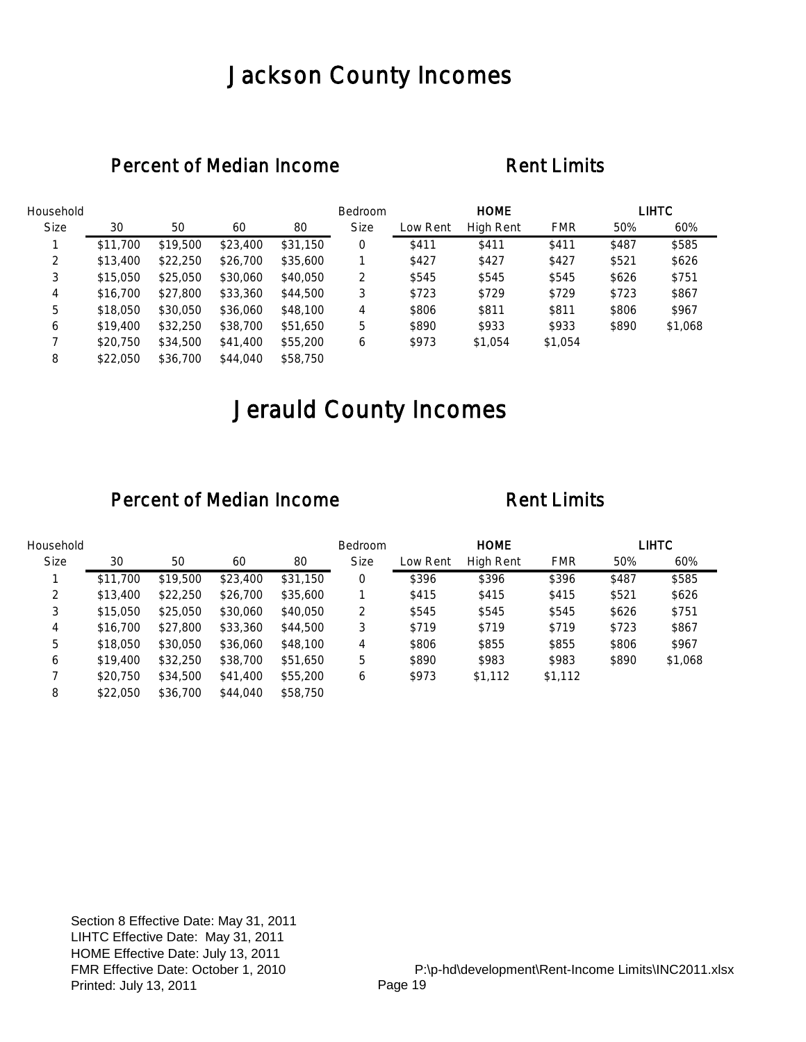## Jackson County Incomes

### Percent of Median Income Rent Limits

| Household   |          |          |          |          | Bedroom     |          | <b>HOME</b>      |            |       | <b>LIHTC</b> |
|-------------|----------|----------|----------|----------|-------------|----------|------------------|------------|-------|--------------|
| <b>Size</b> | 30       | 50       | 60       | 80       | <b>Size</b> | Low Rent | <b>High Rent</b> | <b>FMR</b> | 50%   | 60%          |
|             | \$11,700 | \$19,500 | \$23,400 | \$31,150 | 0           | \$411    | \$411            | \$411      | \$487 | \$585        |
| 2           | \$13,400 | \$22,250 | \$26,700 | \$35,600 |             | \$427    | \$427            | \$427      | \$521 | \$626        |
| 3           | \$15,050 | \$25,050 | \$30,060 | \$40,050 | 2           | \$545    | \$545            | \$545      | \$626 | \$751        |
| 4           | \$16,700 | \$27,800 | \$33,360 | \$44,500 | 3           | \$723    | \$729            | \$729      | \$723 | \$867        |
| 5           | \$18,050 | \$30,050 | \$36,060 | \$48,100 | 4           | \$806    | \$811            | \$811      | \$806 | \$967        |
| 6           | \$19,400 | \$32,250 | \$38,700 | \$51,650 | 5           | \$890    | \$933            | \$933      | \$890 | \$1,068      |
|             | \$20,750 | \$34,500 | \$41,400 | \$55,200 | 6           | \$973    | \$1,054          | \$1,054    |       |              |
| 8           | \$22,050 | \$36,700 | \$44,040 | \$58,750 |             |          |                  |            |       |              |

# Jerauld County Incomes

| Household   |          |          |          |          | <b>Bedroom</b> |          | <b>HOME</b> |            |       | LIHTC   |
|-------------|----------|----------|----------|----------|----------------|----------|-------------|------------|-------|---------|
| <b>Size</b> | 30       | 50       | 60       | 80       | <b>Size</b>    | Low Rent | High Rent   | <b>FMR</b> | 50%   | 60%     |
|             | \$11,700 | \$19,500 | \$23,400 | \$31,150 | 0              | \$396    | \$396       | \$396      | \$487 | \$585   |
| 2           | \$13,400 | \$22,250 | \$26,700 | \$35,600 |                | \$415    | \$415       | \$415      | \$521 | \$626   |
| 3           | \$15,050 | \$25,050 | \$30,060 | \$40,050 | 2              | \$545    | \$545       | \$545      | \$626 | \$751   |
| 4           | \$16,700 | \$27,800 | \$33,360 | \$44,500 | 3              | \$719    | \$719       | \$719      | \$723 | \$867   |
| 5           | \$18,050 | \$30,050 | \$36,060 | \$48,100 | 4              | \$806    | \$855       | \$855      | \$806 | \$967   |
| 6           | \$19,400 | \$32,250 | \$38,700 | \$51,650 | 5              | \$890    | \$983       | \$983      | \$890 | \$1,068 |
|             | \$20,750 | \$34,500 | \$41,400 | \$55,200 | 6              | \$973    | \$1,112     | \$1,112    |       |         |
| 8           | \$22,050 | \$36,700 | \$44,040 | \$58,750 |                |          |             |            |       |         |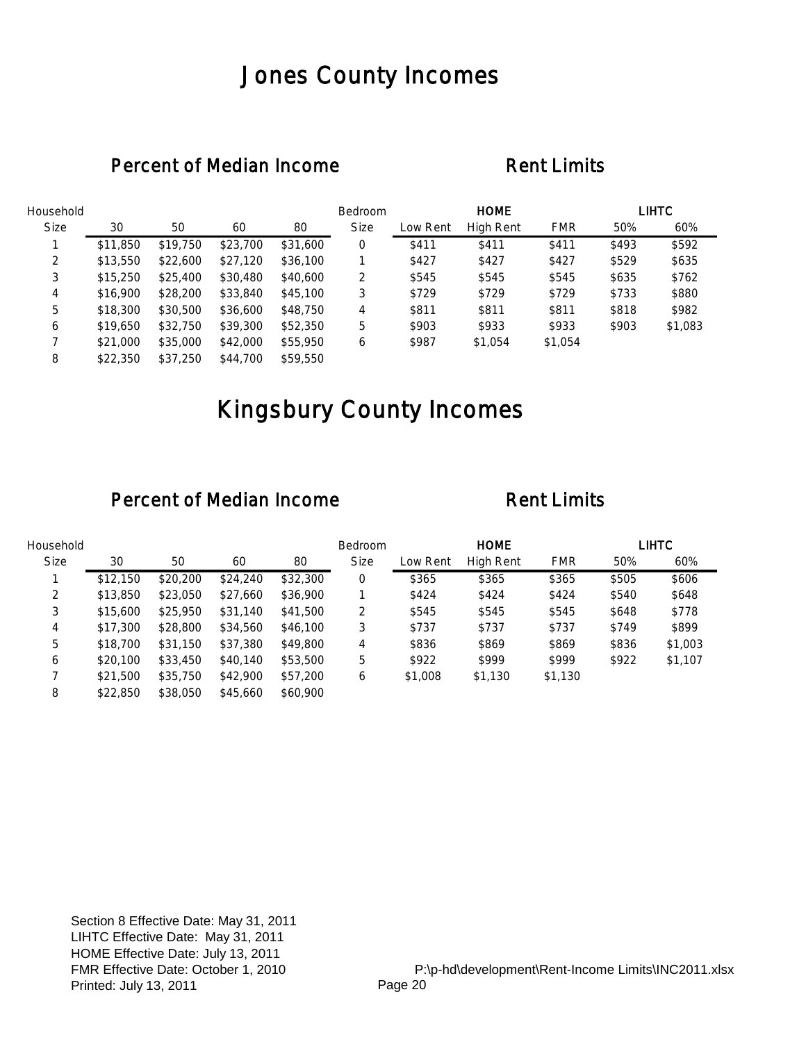## Jones County Incomes

### Percent of Median Income Rent Limits

| Household   |          |          |          |          | Bedroom     |          | <b>HOME</b> |            |       | <b>LIHTC</b> |
|-------------|----------|----------|----------|----------|-------------|----------|-------------|------------|-------|--------------|
| <b>Size</b> | 30       | 50       | 60       | 80       | <b>Size</b> | Low Rent | High Rent   | <b>FMR</b> | 50%   | 60%          |
|             | \$11,850 | \$19,750 | \$23,700 | \$31,600 | 0           | \$411    | \$411       | \$411      | \$493 | \$592        |
| 2           | \$13,550 | \$22,600 | \$27,120 | \$36,100 |             | \$427    | \$427       | \$427      | \$529 | \$635        |
| 3           | \$15,250 | \$25,400 | \$30,480 | \$40,600 | 2           | \$545    | \$545       | \$545      | \$635 | \$762        |
| 4           | \$16,900 | \$28,200 | \$33,840 | \$45,100 | 3           | \$729    | \$729       | \$729      | \$733 | \$880        |
| 5           | \$18,300 | \$30,500 | \$36,600 | \$48,750 | 4           | \$811    | \$811       | \$811      | \$818 | \$982        |
| 6           | \$19,650 | \$32,750 | \$39,300 | \$52,350 | 5           | \$903    | \$933       | \$933      | \$903 | \$1,083      |
|             | \$21,000 | \$35,000 | \$42,000 | \$55,950 | 6           | \$987    | \$1,054     | \$1,054    |       |              |
| 8           | \$22,350 | \$37.250 | \$44,700 | \$59,550 |             |          |             |            |       |              |

# Kingsbury County Incomes

| Household   |          |          |          |          | <b>Bedroom</b> |          | <b>HOME</b>      |            |       | LIHTC   |
|-------------|----------|----------|----------|----------|----------------|----------|------------------|------------|-------|---------|
| <b>Size</b> | 30       | 50       | 60       | 80       | <b>Size</b>    | Low Rent | <b>High Rent</b> | <b>FMR</b> | 50%   | 60%     |
|             | \$12,150 | \$20,200 | \$24,240 | \$32,300 | 0              | \$365    | \$365            | \$365      | \$505 | \$606   |
| 2           | \$13,850 | \$23,050 | \$27,660 | \$36,900 |                | \$424    | \$424            | \$424      | \$540 | \$648   |
| 3           | \$15,600 | \$25,950 | \$31,140 | \$41,500 | 2              | \$545    | \$545            | \$545      | \$648 | \$778   |
| 4           | \$17,300 | \$28,800 | \$34,560 | \$46,100 | 3              | \$737    | \$737            | \$737      | \$749 | \$899   |
| 5           | \$18,700 | \$31,150 | \$37,380 | \$49,800 | 4              | \$836    | \$869            | \$869      | \$836 | \$1,003 |
| 6           | \$20,100 | \$33,450 | \$40,140 | \$53,500 | 5              | \$922    | \$999            | \$999      | \$922 | \$1,107 |
|             | \$21,500 | \$35,750 | \$42,900 | \$57,200 | 6              | \$1,008  | \$1,130          | \$1,130    |       |         |
| 8           | \$22,850 | \$38,050 | \$45,660 | \$60,900 |                |          |                  |            |       |         |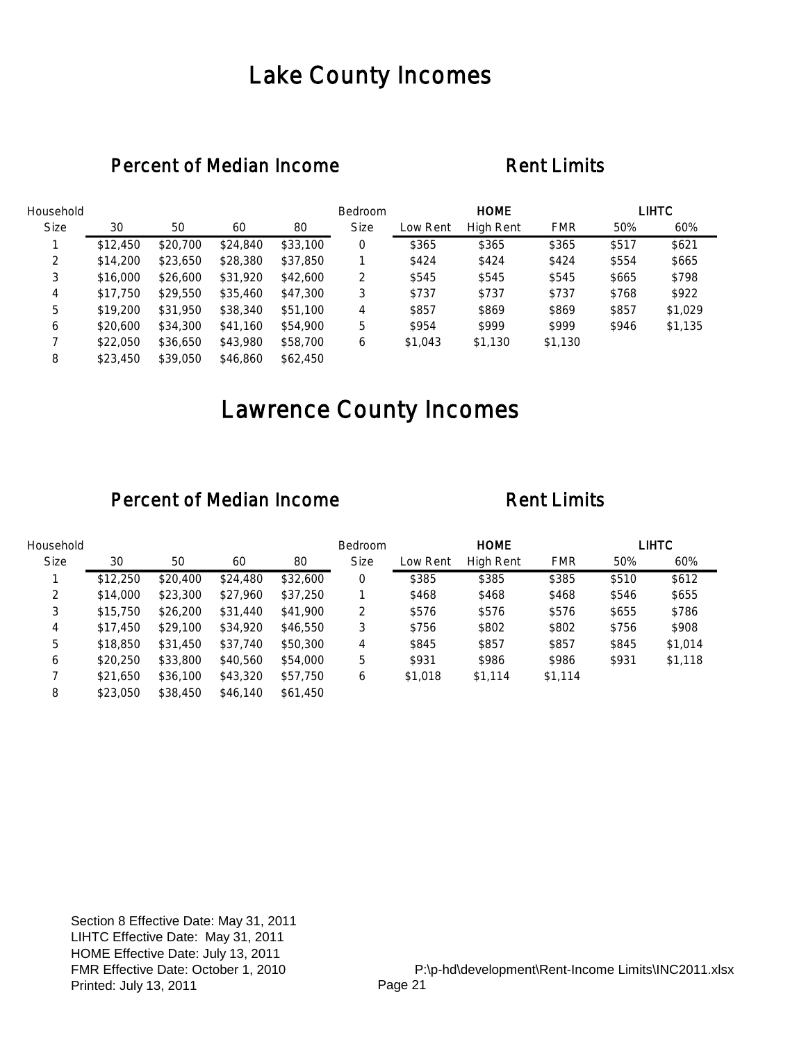## Lake County Incomes

### Percent of Median Income Rent Limits

| Household   |          |          |          |          | Bedroom     |          | <b>HOME</b> |            |       | <b>LIHTC</b> |
|-------------|----------|----------|----------|----------|-------------|----------|-------------|------------|-------|--------------|
| <b>Size</b> | 30       | 50       | 60       | 80       | <b>Size</b> | Low Rent | High Rent   | <b>FMR</b> | 50%   | 60%          |
|             | \$12,450 | \$20,700 | \$24,840 | \$33,100 | 0           | \$365    | \$365       | \$365      | \$517 | \$621        |
| 2           | \$14,200 | \$23,650 | \$28,380 | \$37,850 |             | \$424    | \$424       | \$424      | \$554 | \$665        |
| 3           | \$16,000 | \$26,600 | \$31,920 | \$42,600 | 2           | \$545    | \$545       | \$545      | \$665 | \$798        |
| 4           | \$17,750 | \$29,550 | \$35,460 | \$47,300 | 3           | \$737    | \$737       | \$737      | \$768 | \$922        |
| 5           | \$19,200 | \$31,950 | \$38,340 | \$51,100 | 4           | \$857    | \$869       | \$869      | \$857 | \$1,029      |
| 6           | \$20,600 | \$34,300 | \$41,160 | \$54,900 | 5           | \$954    | \$999       | \$999      | \$946 | \$1,135      |
|             | \$22,050 | \$36,650 | \$43,980 | \$58,700 | 6           | \$1,043  | \$1,130     | \$1,130    |       |              |
| 8           | \$23,450 | \$39,050 | \$46,860 | \$62,450 |             |          |             |            |       |              |

# Lawrence County Incomes

| Household   |          |          |          |          | <b>Bedroom</b> |          | <b>HOME</b> |            |       | LIHTC   |
|-------------|----------|----------|----------|----------|----------------|----------|-------------|------------|-------|---------|
| <b>Size</b> | 30       | 50       | 60       | 80       | <b>Size</b>    | Low Rent | High Rent   | <b>FMR</b> | 50%   | 60%     |
|             | \$12,250 | \$20,400 | \$24,480 | \$32,600 | 0              | \$385    | \$385       | \$385      | \$510 | \$612   |
| 2           | \$14,000 | \$23,300 | \$27,960 | \$37,250 |                | \$468    | \$468       | \$468      | \$546 | \$655   |
| 3           | \$15,750 | \$26,200 | \$31,440 | \$41,900 | 2              | \$576    | \$576       | \$576      | \$655 | \$786   |
| 4           | \$17,450 | \$29,100 | \$34,920 | \$46,550 | 3              | \$756    | \$802       | \$802      | \$756 | \$908   |
| 5           | \$18,850 | \$31,450 | \$37,740 | \$50,300 | 4              | \$845    | \$857       | \$857      | \$845 | \$1,014 |
| 6           | \$20,250 | \$33,800 | \$40,560 | \$54,000 | 5              | \$931    | \$986       | \$986      | \$931 | \$1,118 |
|             | \$21,650 | \$36,100 | \$43,320 | \$57,750 | 6              | \$1,018  | \$1,114     | \$1,114    |       |         |
| 8           | \$23,050 | \$38,450 | \$46,140 | \$61,450 |                |          |             |            |       |         |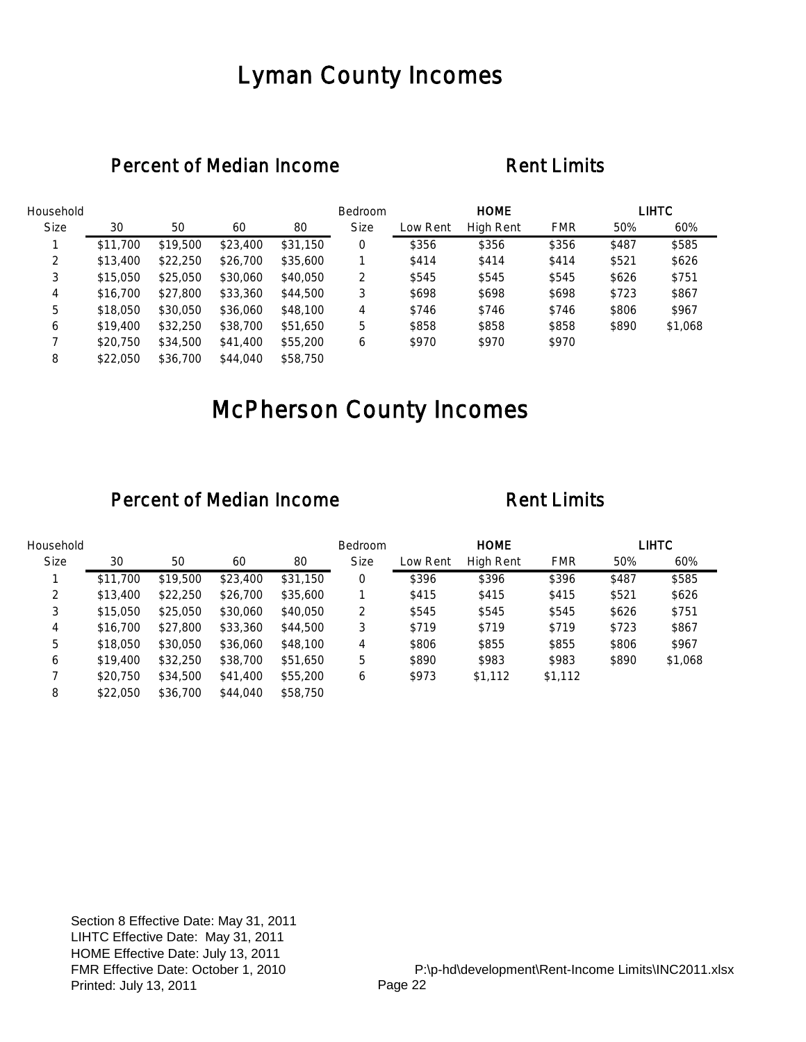## Lyman County Incomes

### Percent of Median Income Rent Limits

| Household   |          |          |          |          | Bedroom     |          | <b>HOME</b> |            |       | <b>LIHTC</b> |
|-------------|----------|----------|----------|----------|-------------|----------|-------------|------------|-------|--------------|
| <b>Size</b> | 30       | 50       | 60       | 80       | <b>Size</b> | Low Rent | High Rent   | <b>FMR</b> | 50%   | 60%          |
|             | \$11,700 | \$19,500 | \$23,400 | \$31,150 | 0           | \$356    | \$356       | \$356      | \$487 | \$585        |
| 2           | \$13,400 | \$22,250 | \$26,700 | \$35,600 |             | \$414    | \$414       | \$414      | \$521 | \$626        |
| 3           | \$15,050 | \$25,050 | \$30,060 | \$40,050 | 2           | \$545    | \$545       | \$545      | \$626 | \$751        |
| 4           | \$16,700 | \$27,800 | \$33,360 | \$44,500 | 3           | \$698    | \$698       | \$698      | \$723 | \$867        |
| 5           | \$18,050 | \$30,050 | \$36,060 | \$48,100 | 4           | \$746    | \$746       | \$746      | \$806 | \$967        |
| 6           | \$19,400 | \$32,250 | \$38,700 | \$51,650 | 5           | \$858    | \$858       | \$858      | \$890 | \$1,068      |
|             | \$20,750 | \$34,500 | \$41,400 | \$55,200 | 6           | \$970    | \$970       | \$970      |       |              |
| 8           | \$22,050 | \$36,700 | \$44,040 | \$58,750 |             |          |             |            |       |              |

# McPherson County Incomes

| Household   |          |          |          |          | <b>Bedroom</b> |          | <b>HOME</b> |            |       | LIHTC   |
|-------------|----------|----------|----------|----------|----------------|----------|-------------|------------|-------|---------|
| <b>Size</b> | 30       | 50       | 60       | 80       | <b>Size</b>    | Low Rent | High Rent   | <b>FMR</b> | 50%   | 60%     |
|             | \$11,700 | \$19,500 | \$23,400 | \$31,150 | 0              | \$396    | \$396       | \$396      | \$487 | \$585   |
| 2           | \$13,400 | \$22,250 | \$26,700 | \$35,600 |                | \$415    | \$415       | \$415      | \$521 | \$626   |
| 3           | \$15,050 | \$25,050 | \$30,060 | \$40,050 | 2              | \$545    | \$545       | \$545      | \$626 | \$751   |
| 4           | \$16,700 | \$27,800 | \$33,360 | \$44,500 | 3              | \$719    | \$719       | \$719      | \$723 | \$867   |
| 5           | \$18,050 | \$30,050 | \$36,060 | \$48,100 | 4              | \$806    | \$855       | \$855      | \$806 | \$967   |
| 6           | \$19,400 | \$32,250 | \$38,700 | \$51,650 | 5              | \$890    | \$983       | \$983      | \$890 | \$1,068 |
|             | \$20,750 | \$34,500 | \$41,400 | \$55,200 | 6              | \$973    | \$1,112     | \$1,112    |       |         |
| 8           | \$22,050 | \$36,700 | \$44,040 | \$58,750 |                |          |             |            |       |         |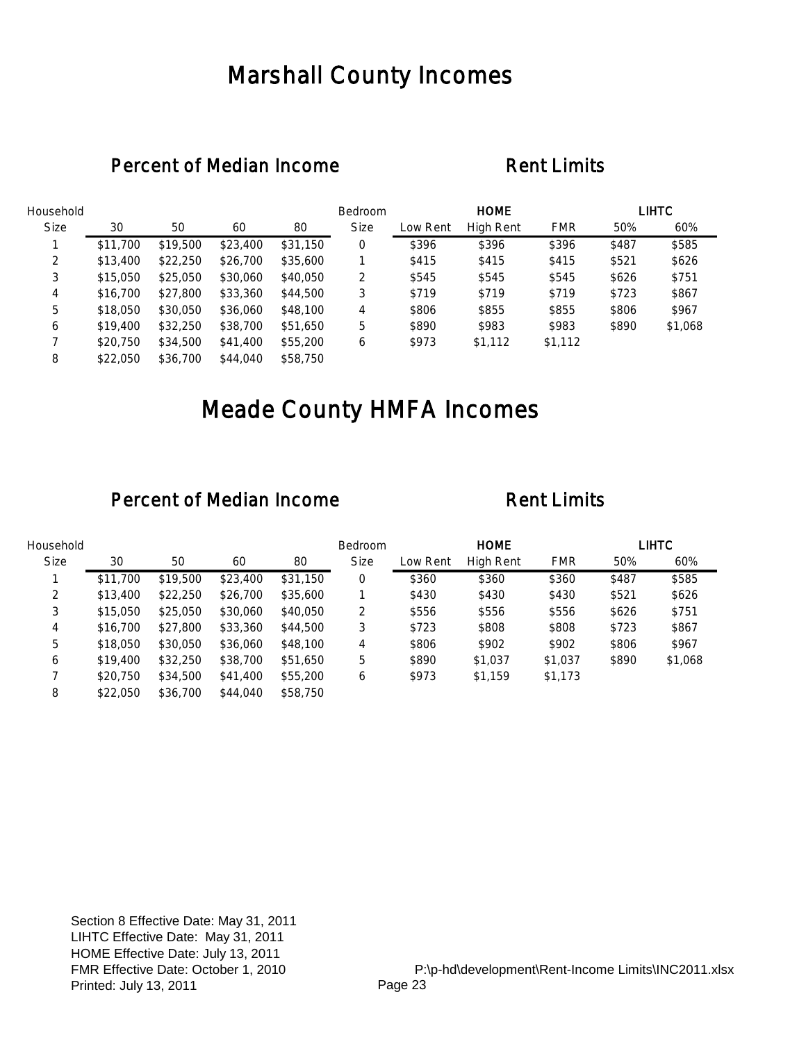## Marshall County Incomes

### Percent of Median Income Rent Limits

| Household   |          |          |          |          | Bedroom     |          | <b>HOME</b>      |            |       | <b>LIHTC</b> |
|-------------|----------|----------|----------|----------|-------------|----------|------------------|------------|-------|--------------|
| <b>Size</b> | 30       | 50       | 60       | 80       | <b>Size</b> | Low Rent | <b>High Rent</b> | <b>FMR</b> | 50%   | 60%          |
|             | \$11,700 | \$19,500 | \$23,400 | \$31,150 | 0           | \$396    | \$396            | \$396      | \$487 | \$585        |
| 2           | \$13,400 | \$22,250 | \$26,700 | \$35,600 |             | \$415    | \$415            | \$415      | \$521 | \$626        |
| 3           | \$15,050 | \$25,050 | \$30,060 | \$40,050 | 2           | \$545    | \$545            | \$545      | \$626 | \$751        |
| 4           | \$16,700 | \$27,800 | \$33,360 | \$44,500 | 3           | \$719    | \$719            | \$719      | \$723 | \$867        |
| 5           | \$18,050 | \$30,050 | \$36,060 | \$48,100 | 4           | \$806    | \$855            | \$855      | \$806 | \$967        |
| 6           | \$19,400 | \$32,250 | \$38,700 | \$51,650 | 5           | \$890    | \$983            | \$983      | \$890 | \$1,068      |
|             | \$20,750 | \$34,500 | \$41,400 | \$55,200 | 6           | \$973    | \$1,112          | \$1,112    |       |              |
| 8           | \$22,050 | \$36,700 | \$44,040 | \$58,750 |             |          |                  |            |       |              |

# Meade County HMFA Incomes

| Household   |          |          |          |          | Bedroom     |          | <b>HOME</b> |            |       | LIHTC   |
|-------------|----------|----------|----------|----------|-------------|----------|-------------|------------|-------|---------|
| <b>Size</b> | 30       | 50       | 60       | 80       | <b>Size</b> | Low Rent | High Rent   | <b>FMR</b> | 50%   | 60%     |
|             | \$11,700 | \$19,500 | \$23,400 | \$31,150 | 0           | \$360    | \$360       | \$360      | \$487 | \$585   |
| 2           | \$13,400 | \$22,250 | \$26,700 | \$35,600 |             | \$430    | \$430       | \$430      | \$521 | \$626   |
| 3           | \$15,050 | \$25,050 | \$30,060 | \$40,050 | 2           | \$556    | \$556       | \$556      | \$626 | \$751   |
| 4           | \$16,700 | \$27,800 | \$33,360 | \$44,500 | 3           | \$723    | \$808       | \$808      | \$723 | \$867   |
| 5           | \$18,050 | \$30,050 | \$36,060 | \$48,100 | 4           | \$806    | \$902       | \$902      | \$806 | \$967   |
| 6           | \$19,400 | \$32,250 | \$38,700 | \$51,650 | 5           | \$890    | \$1,037     | \$1,037    | \$890 | \$1,068 |
|             | \$20,750 | \$34,500 | \$41,400 | \$55,200 | 6           | \$973    | \$1,159     | \$1,173    |       |         |
| 8           | \$22,050 | \$36,700 | \$44,040 | \$58,750 |             |          |             |            |       |         |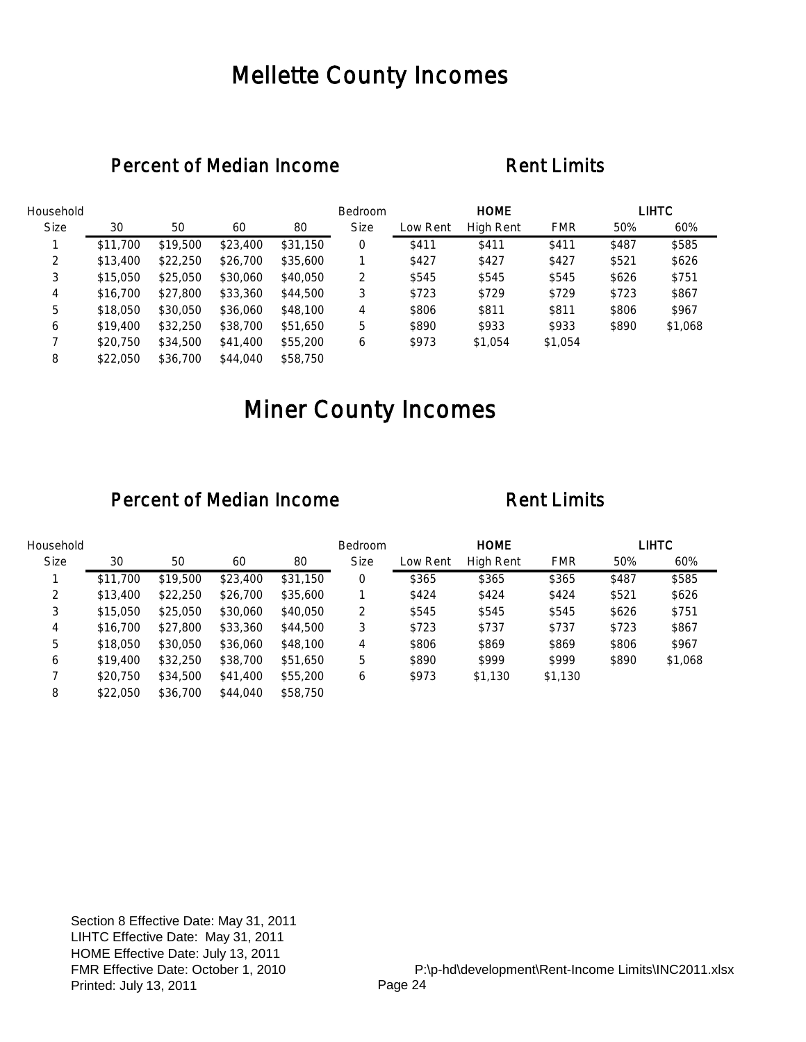## Mellette County Incomes

### Percent of Median Income Rent Limits

| Household   |          |          |          |          | Bedroom     |          | <b>HOME</b>      |            |       | <b>LIHTC</b> |
|-------------|----------|----------|----------|----------|-------------|----------|------------------|------------|-------|--------------|
| <b>Size</b> | 30       | 50       | 60       | 80       | <b>Size</b> | Low Rent | <b>High Rent</b> | <b>FMR</b> | 50%   | 60%          |
|             | \$11,700 | \$19,500 | \$23,400 | \$31,150 | 0           | \$411    | \$411            | \$411      | \$487 | \$585        |
| 2           | \$13,400 | \$22,250 | \$26,700 | \$35,600 |             | \$427    | \$427            | \$427      | \$521 | \$626        |
| 3           | \$15,050 | \$25,050 | \$30,060 | \$40,050 | 2           | \$545    | \$545            | \$545      | \$626 | \$751        |
| 4           | \$16,700 | \$27,800 | \$33,360 | \$44,500 | 3           | \$723    | \$729            | \$729      | \$723 | \$867        |
| 5           | \$18,050 | \$30,050 | \$36,060 | \$48,100 | 4           | \$806    | \$811            | \$811      | \$806 | \$967        |
| 6           | \$19,400 | \$32,250 | \$38,700 | \$51,650 | 5           | \$890    | \$933            | \$933      | \$890 | \$1,068      |
|             | \$20,750 | \$34,500 | \$41,400 | \$55,200 | 6           | \$973    | \$1,054          | \$1,054    |       |              |
| 8           | \$22,050 | \$36,700 | \$44,040 | \$58,750 |             |          |                  |            |       |              |

# Miner County Incomes

| Household   |          |          |          |          | <b>Bedroom</b> |          | <b>HOME</b> |            |       | <b>LIHTC</b> |
|-------------|----------|----------|----------|----------|----------------|----------|-------------|------------|-------|--------------|
| <b>Size</b> | 30       | 50       | 60       | 80       | <b>Size</b>    | Low Rent | High Rent   | <b>FMR</b> | 50%   | 60%          |
|             | \$11,700 | \$19,500 | \$23,400 | \$31,150 | 0              | \$365    | \$365       | \$365      | \$487 | \$585        |
| 2           | \$13,400 | \$22,250 | \$26,700 | \$35,600 |                | \$424    | \$424       | \$424      | \$521 | \$626        |
| 3           | \$15,050 | \$25,050 | \$30,060 | \$40,050 | 2              | \$545    | \$545       | \$545      | \$626 | \$751        |
| 4           | \$16,700 | \$27,800 | \$33,360 | \$44,500 | 3              | \$723    | \$737       | \$737      | \$723 | \$867        |
| 5           | \$18,050 | \$30,050 | \$36,060 | \$48,100 | 4              | \$806    | \$869       | \$869      | \$806 | \$967        |
| 6           | \$19,400 | \$32,250 | \$38,700 | \$51,650 | 5              | \$890    | \$999       | \$999      | \$890 | \$1,068      |
|             | \$20,750 | \$34,500 | \$41,400 | \$55,200 | 6              | \$973    | \$1,130     | \$1,130    |       |              |
| 8           | \$22,050 | \$36,700 | \$44,040 | \$58,750 |                |          |             |            |       |              |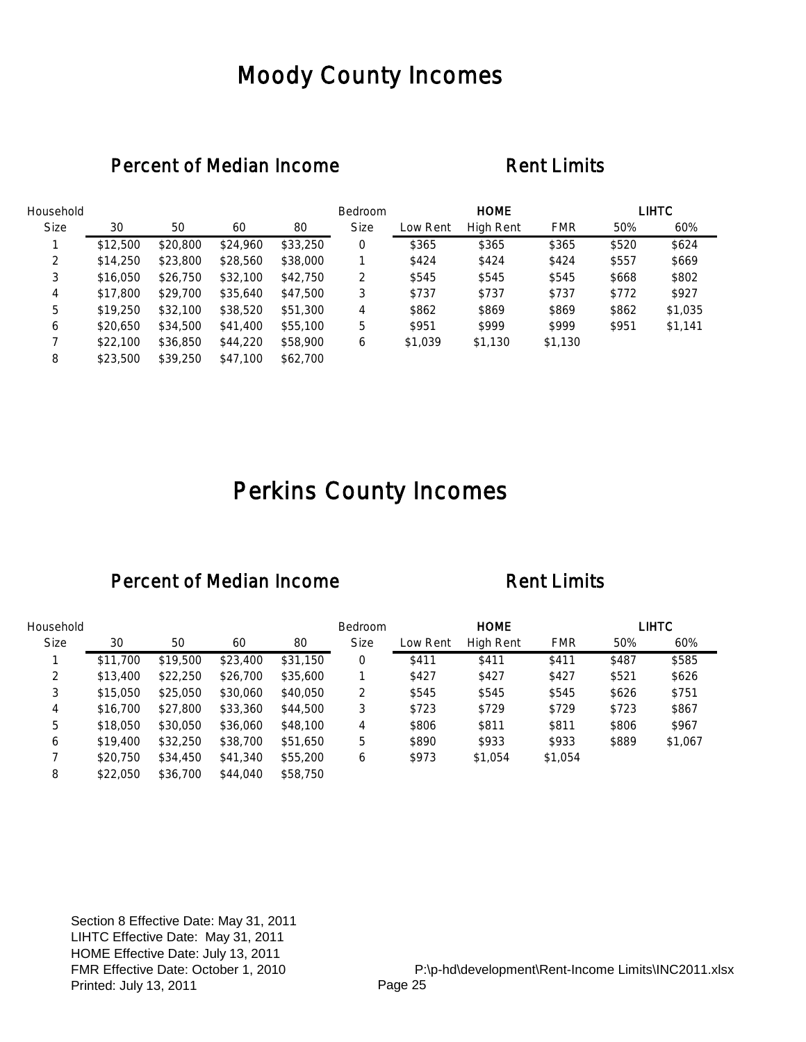## Moody County Incomes

### Percent of Median Income Rent Limits

| Household   |          |          |          |          | <b>Bedroom</b> |          | <b>HOME</b> |            |       | LIHTC   |
|-------------|----------|----------|----------|----------|----------------|----------|-------------|------------|-------|---------|
| <b>Size</b> | 30       | 50       | 60       | 80       | <b>Size</b>    | Low Rent | High Rent   | <b>FMR</b> | 50%   | 60%     |
|             | \$12,500 | \$20,800 | \$24,960 | \$33,250 | 0              | \$365    | \$365       | \$365      | \$520 | \$624   |
| 2           | \$14,250 | \$23,800 | \$28,560 | \$38,000 |                | \$424    | \$424       | \$424      | \$557 | \$669   |
| 3           | \$16,050 | \$26,750 | \$32,100 | \$42,750 | 2              | \$545    | \$545       | \$545      | \$668 | \$802   |
| 4           | \$17,800 | \$29,700 | \$35,640 | \$47,500 | 3              | \$737    | \$737       | \$737      | \$772 | \$927   |
| 5           | \$19,250 | \$32,100 | \$38,520 | \$51,300 | 4              | \$862    | \$869       | \$869      | \$862 | \$1,035 |
| 6           | \$20,650 | \$34,500 | \$41,400 | \$55,100 | 5              | \$951    | \$999       | \$999      | \$951 | \$1,141 |
|             | \$22,100 | \$36,850 | \$44,220 | \$58,900 | 6              | \$1,039  | \$1,130     | \$1,130    |       |         |
| 8           | \$23,500 | \$39,250 | \$47,100 | \$62,700 |                |          |             |            |       |         |

# Perkins County Incomes

### Percent of Median Income Rent Limits

| Household   |          |          |          |          | Bedroom     |          | <b>HOME</b>      |            |       | LIHTC   |
|-------------|----------|----------|----------|----------|-------------|----------|------------------|------------|-------|---------|
| <b>Size</b> | 30       | 50       | 60       | 80       | <b>Size</b> | Low Rent | <b>High Rent</b> | <b>FMR</b> | 50%   | 60%     |
|             | \$11,700 | \$19,500 | \$23,400 | \$31,150 | 0           | \$411    | \$411            | \$411      | \$487 | \$585   |
| 2           | \$13,400 | \$22,250 | \$26,700 | \$35,600 |             | \$427    | \$427            | \$427      | \$521 | \$626   |
| 3           | \$15,050 | \$25,050 | \$30,060 | \$40,050 | 2           | \$545    | \$545            | \$545      | \$626 | \$751   |
| 4           | \$16,700 | \$27,800 | \$33,360 | \$44,500 | 3           | \$723    | \$729            | \$729      | \$723 | \$867   |
| 5           | \$18,050 | \$30,050 | \$36,060 | \$48,100 | 4           | \$806    | \$811            | \$811      | \$806 | \$967   |
| 6           | \$19,400 | \$32,250 | \$38,700 | \$51,650 | 5           | \$890    | \$933            | \$933      | \$889 | \$1,067 |
|             | \$20,750 | \$34,450 | \$41,340 | \$55,200 | 6           | \$973    | \$1,054          | \$1,054    |       |         |
| 8           | \$22,050 | \$36,700 | \$44,040 | \$58,750 |             |          |                  |            |       |         |

Section 8 Effective Date: May 31, 2011 LIHTC Effective Date: May 31, 2011 HOME Effective Date: July 13, 2011 FMR Effective Date: October 1, 2010 Printed: July 13, 2011 Printed: Page 25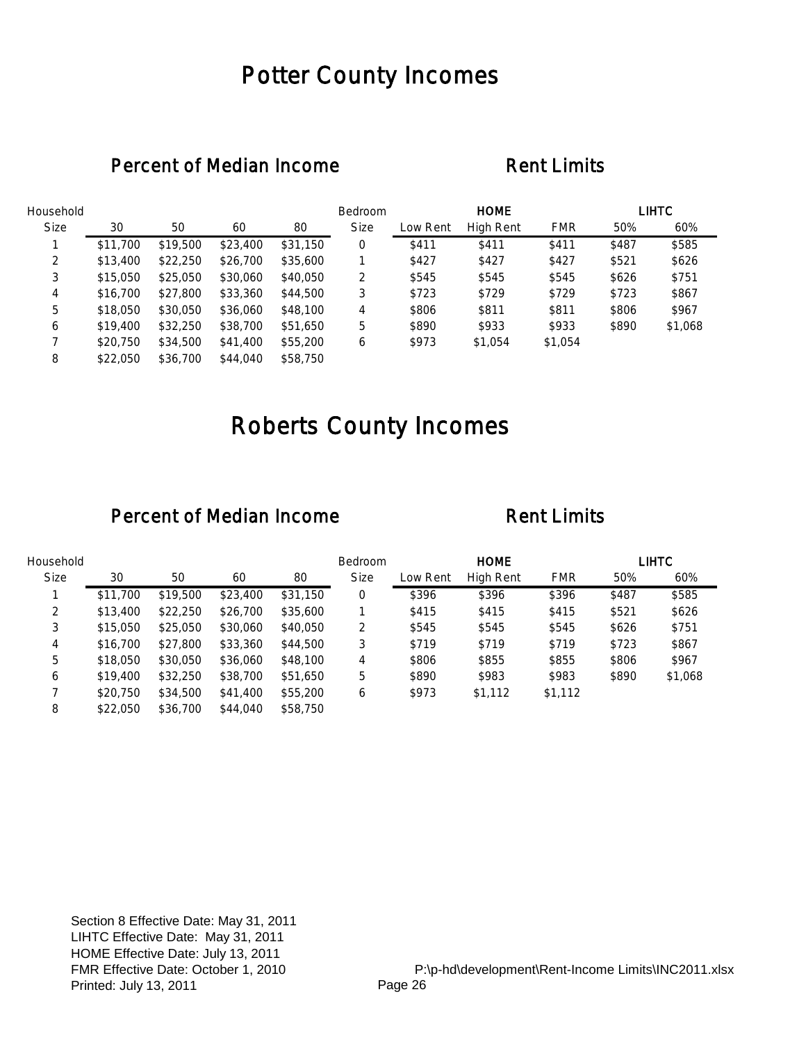## Potter County Incomes

### Percent of Median Income Rent Limits

| Household   |          |          |          |          | Bedroom     |          | <b>HOME</b>      |            |       | <b>LIHTC</b> |
|-------------|----------|----------|----------|----------|-------------|----------|------------------|------------|-------|--------------|
| <b>Size</b> | 30       | 50       | 60       | 80       | <b>Size</b> | Low Rent | <b>High Rent</b> | <b>FMR</b> | 50%   | 60%          |
|             | \$11,700 | \$19,500 | \$23,400 | \$31,150 | 0           | \$411    | \$411            | \$411      | \$487 | \$585        |
| 2           | \$13,400 | \$22,250 | \$26,700 | \$35,600 |             | \$427    | \$427            | \$427      | \$521 | \$626        |
| 3           | \$15,050 | \$25,050 | \$30,060 | \$40,050 | 2           | \$545    | \$545            | \$545      | \$626 | \$751        |
| 4           | \$16,700 | \$27,800 | \$33,360 | \$44,500 | 3           | \$723    | \$729            | \$729      | \$723 | \$867        |
| 5           | \$18,050 | \$30,050 | \$36,060 | \$48,100 | 4           | \$806    | \$811            | \$811      | \$806 | \$967        |
| 6           | \$19,400 | \$32,250 | \$38,700 | \$51,650 | 5           | \$890    | \$933            | \$933      | \$890 | \$1,068      |
|             | \$20,750 | \$34,500 | \$41,400 | \$55,200 | 6           | \$973    | \$1,054          | \$1,054    |       |              |
| 8           | \$22,050 | \$36,700 | \$44,040 | \$58,750 |             |          |                  |            |       |              |

# Roberts County Incomes

| Household   |          |          |          |          | <b>Bedroom</b> |          | <b>HOME</b>      |            |       | LIHTC   |
|-------------|----------|----------|----------|----------|----------------|----------|------------------|------------|-------|---------|
| <b>Size</b> | 30       | 50       | 60       | 80       | <b>Size</b>    | Low Rent | <b>High Rent</b> | <b>FMR</b> | 50%   | 60%     |
|             | \$11,700 | \$19,500 | \$23,400 | \$31,150 | 0              | \$396    | \$396            | \$396      | \$487 | \$585   |
| 2           | \$13,400 | \$22,250 | \$26,700 | \$35,600 |                | \$415    | \$415            | \$415      | \$521 | \$626   |
| 3           | \$15,050 | \$25,050 | \$30,060 | \$40,050 | 2              | \$545    | \$545            | \$545      | \$626 | \$751   |
| 4           | \$16,700 | \$27,800 | \$33,360 | \$44,500 | 3              | \$719    | \$719            | \$719      | \$723 | \$867   |
| 5           | \$18,050 | \$30,050 | \$36,060 | \$48,100 | 4              | \$806    | \$855            | \$855      | \$806 | \$967   |
| 6           | \$19,400 | \$32,250 | \$38,700 | \$51,650 | 5              | \$890    | \$983            | \$983      | \$890 | \$1,068 |
|             | \$20,750 | \$34,500 | \$41,400 | \$55,200 | 6              | \$973    | \$1,112          | \$1,112    |       |         |
| 8           | \$22,050 | \$36,700 | \$44,040 | \$58,750 |                |          |                  |            |       |         |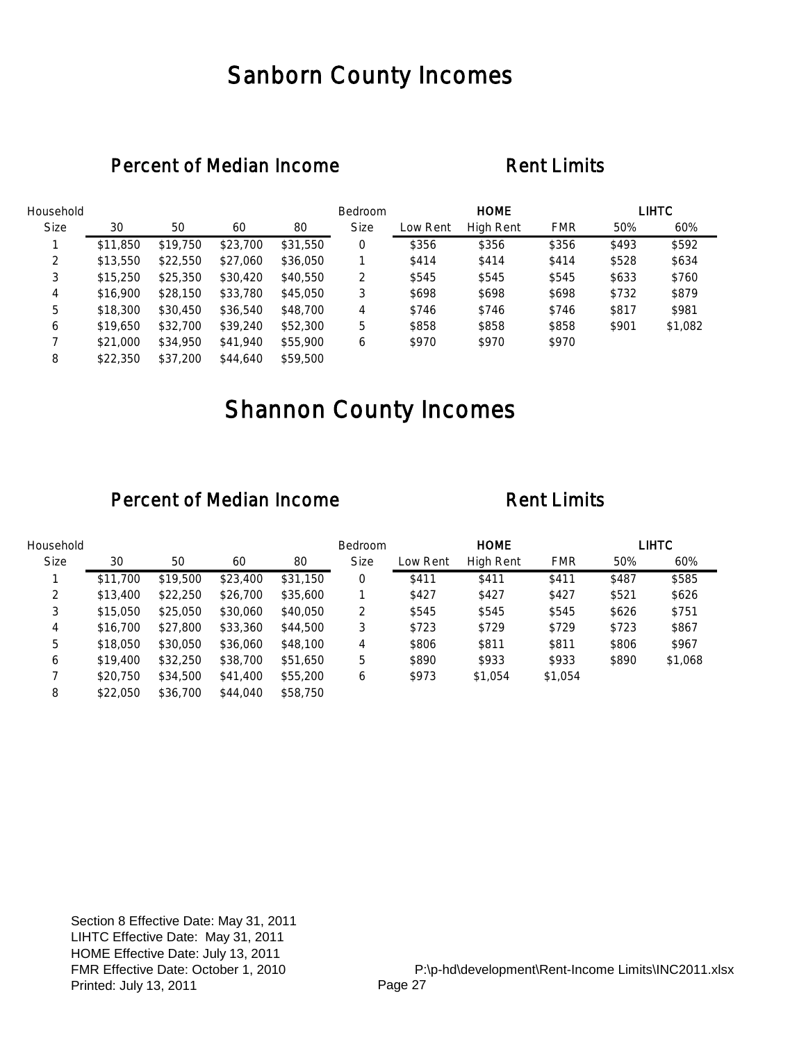## Sanborn County Incomes

### Percent of Median Income Rent Limits

| Household   |          |          |          |          | Bedroom     |          | <b>HOME</b>      |            |       | <b>LIHTC</b> |
|-------------|----------|----------|----------|----------|-------------|----------|------------------|------------|-------|--------------|
| <b>Size</b> | 30       | 50       | 60       | 80       | <b>Size</b> | Low Rent | <b>High Rent</b> | <b>FMR</b> | 50%   | 60%          |
|             | \$11,850 | \$19,750 | \$23,700 | \$31,550 | 0           | \$356    | \$356            | \$356      | \$493 | \$592        |
| 2           | \$13,550 | \$22,550 | \$27,060 | \$36,050 |             | \$414    | \$414            | \$414      | \$528 | \$634        |
| 3           | \$15,250 | \$25,350 | \$30,420 | \$40,550 | 2           | \$545    | \$545            | \$545      | \$633 | \$760        |
| 4           | \$16,900 | \$28,150 | \$33,780 | \$45,050 | 3           | \$698    | \$698            | \$698      | \$732 | \$879        |
| 5           | \$18,300 | \$30,450 | \$36,540 | \$48,700 | 4           | \$746    | \$746            | \$746      | \$817 | \$981        |
| 6           | \$19,650 | \$32,700 | \$39,240 | \$52,300 | 5           | \$858    | \$858            | \$858      | \$901 | \$1,082      |
|             | \$21,000 | \$34,950 | \$41,940 | \$55,900 | 6           | \$970    | \$970            | \$970      |       |              |
| 8           | \$22,350 | \$37,200 | \$44,640 | \$59,500 |             |          |                  |            |       |              |

# Shannon County Incomes

| Household   |          |          |          |          | Bedroom     |          | <b>HOME</b> |            |       | LIHTC   |
|-------------|----------|----------|----------|----------|-------------|----------|-------------|------------|-------|---------|
| <b>Size</b> | 30       | 50       | 60       | 80       | <b>Size</b> | Low Rent | High Rent   | <b>FMR</b> | 50%   | 60%     |
|             | \$11,700 | \$19,500 | \$23,400 | \$31,150 | 0           | \$411    | \$411       | \$411      | \$487 | \$585   |
| 2           | \$13,400 | \$22,250 | \$26,700 | \$35,600 |             | \$427    | \$427       | \$427      | \$521 | \$626   |
| 3           | \$15,050 | \$25,050 | \$30,060 | \$40,050 | 2           | \$545    | \$545       | \$545      | \$626 | \$751   |
| 4           | \$16,700 | \$27,800 | \$33,360 | \$44,500 | 3           | \$723    | \$729       | \$729      | \$723 | \$867   |
| 5           | \$18,050 | \$30,050 | \$36,060 | \$48,100 | 4           | \$806    | \$811       | \$811      | \$806 | \$967   |
| 6           | \$19,400 | \$32,250 | \$38,700 | \$51,650 | 5           | \$890    | \$933       | \$933      | \$890 | \$1,068 |
|             | \$20,750 | \$34,500 | \$41,400 | \$55,200 | 6           | \$973    | \$1,054     | \$1,054    |       |         |
| 8           | \$22,050 | \$36,700 | \$44,040 | \$58,750 |             |          |             |            |       |         |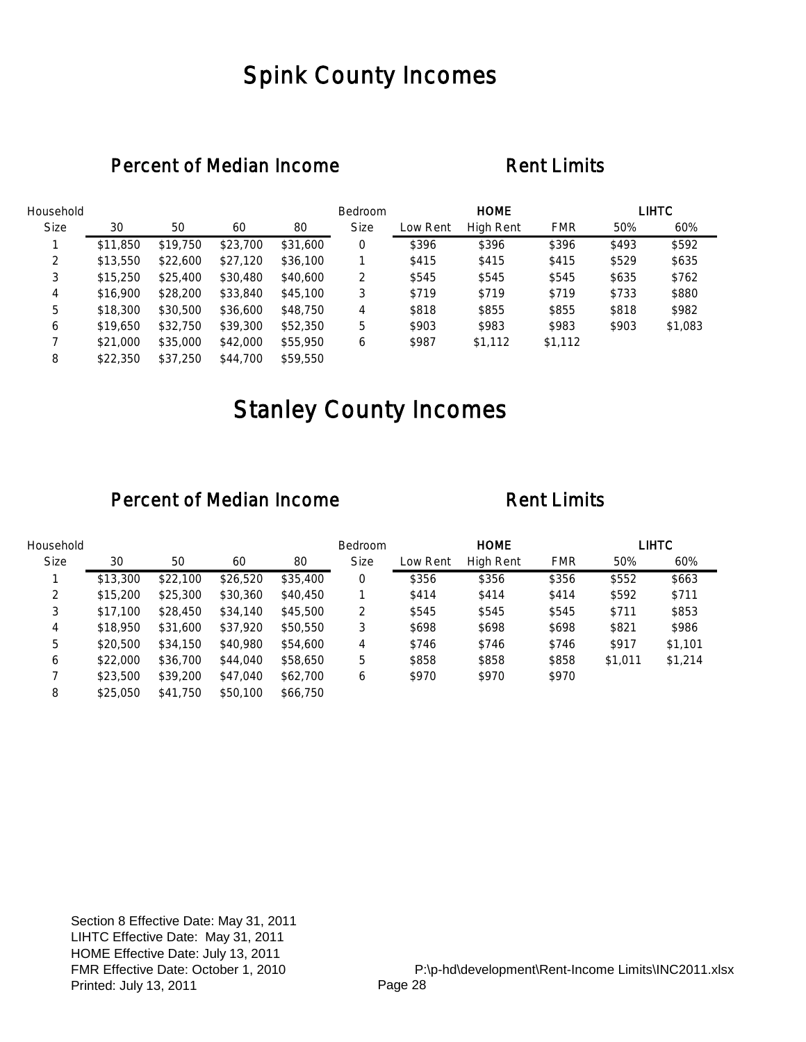## Spink County Incomes

### Percent of Median Income Rent Limits

| Household   |          |          |          |          | Bedroom     |          | <b>HOME</b>      |            |       | <b>LIHTC</b> |
|-------------|----------|----------|----------|----------|-------------|----------|------------------|------------|-------|--------------|
| <b>Size</b> | 30       | 50       | 60       | 80       | <b>Size</b> | Low Rent | <b>High Rent</b> | <b>FMR</b> | 50%   | 60%          |
|             | \$11,850 | \$19,750 | \$23,700 | \$31,600 | 0           | \$396    | \$396            | \$396      | \$493 | \$592        |
| 2           | \$13,550 | \$22,600 | \$27,120 | \$36,100 |             | \$415    | \$415            | \$415      | \$529 | \$635        |
| 3           | \$15,250 | \$25,400 | \$30,480 | \$40,600 | 2           | \$545    | \$545            | \$545      | \$635 | \$762        |
| 4           | \$16,900 | \$28,200 | \$33,840 | \$45,100 | 3           | \$719    | \$719            | \$719      | \$733 | \$880        |
| 5           | \$18,300 | \$30,500 | \$36,600 | \$48,750 | 4           | \$818    | \$855            | \$855      | \$818 | \$982        |
| 6           | \$19,650 | \$32,750 | \$39,300 | \$52,350 | 5           | \$903    | \$983            | \$983      | \$903 | \$1,083      |
|             | \$21,000 | \$35,000 | \$42,000 | \$55,950 | 6           | \$987    | \$1,112          | \$1,112    |       |              |
| 8           | \$22,350 | \$37.250 | \$44,700 | \$59,550 |             |          |                  |            |       |              |

# Stanley County Incomes

| Household   |          |          |          |          | <b>Bedroom</b> |          | <b>HOME</b> |            |         | LIHTC   |
|-------------|----------|----------|----------|----------|----------------|----------|-------------|------------|---------|---------|
| <b>Size</b> | 30       | 50       | 60       | 80       | <b>Size</b>    | Low Rent | High Rent   | <b>FMR</b> | 50%     | 60%     |
|             | \$13,300 | \$22,100 | \$26,520 | \$35,400 | 0              | \$356    | \$356       | \$356      | \$552   | \$663   |
| 2           | \$15,200 | \$25,300 | \$30,360 | \$40,450 |                | \$414    | \$414       | \$414      | \$592   | \$711   |
| 3           | \$17.100 | \$28,450 | \$34,140 | \$45,500 | 2              | \$545    | \$545       | \$545      | \$711   | \$853   |
| 4           | \$18,950 | \$31,600 | \$37,920 | \$50,550 | 3              | \$698    | \$698       | \$698      | \$821   | \$986   |
| 5           | \$20,500 | \$34,150 | \$40,980 | \$54,600 | 4              | \$746    | \$746       | \$746      | \$917   | \$1,101 |
| 6           | \$22,000 | \$36,700 | \$44,040 | \$58,650 | 5              | \$858    | \$858       | \$858      | \$1,011 | \$1,214 |
|             | \$23,500 | \$39,200 | \$47,040 | \$62,700 | 6              | \$970    | \$970       | \$970      |         |         |
| 8           | \$25,050 | \$41,750 | \$50,100 | \$66,750 |                |          |             |            |         |         |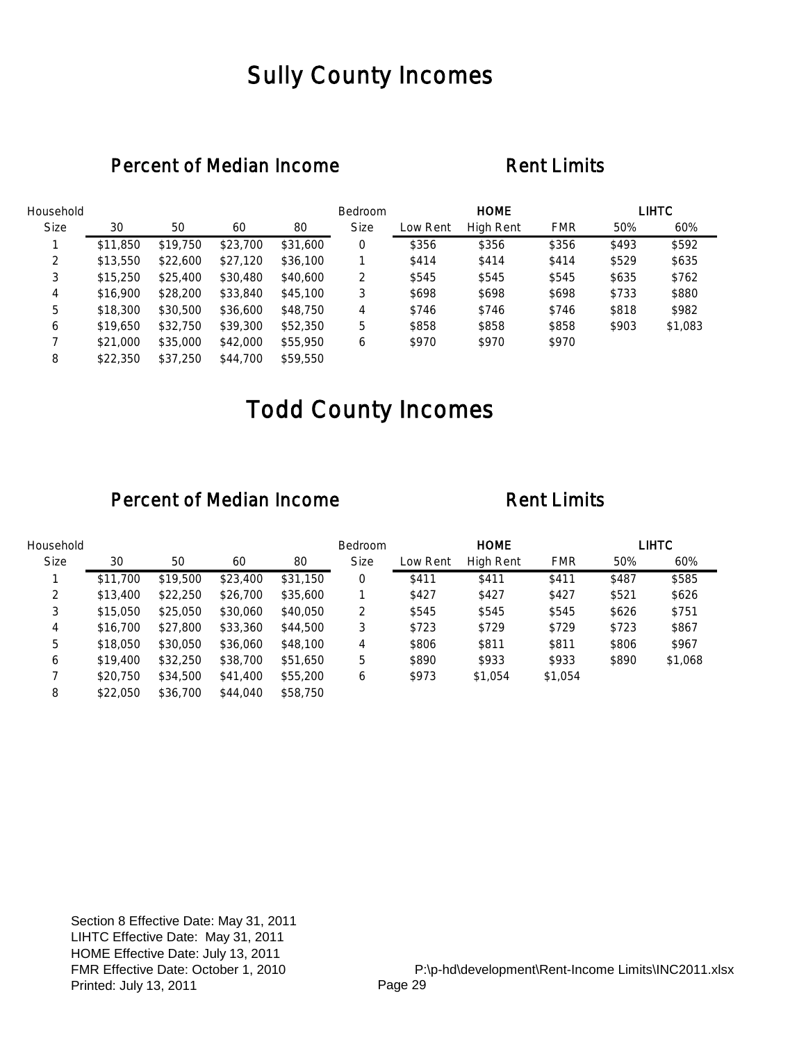## Sully County Incomes

### Percent of Median Income Rent Limits

| Household   |          |          |          |          | Bedroom     |          | <b>HOME</b>      |            |       | <b>LIHTC</b> |
|-------------|----------|----------|----------|----------|-------------|----------|------------------|------------|-------|--------------|
| <b>Size</b> | 30       | 50       | 60       | 80       | <b>Size</b> | Low Rent | <b>High Rent</b> | <b>FMR</b> | 50%   | 60%          |
|             | \$11,850 | \$19,750 | \$23,700 | \$31,600 | 0           | \$356    | \$356            | \$356      | \$493 | \$592        |
| 2           | \$13,550 | \$22,600 | \$27,120 | \$36,100 |             | \$414    | \$414            | \$414      | \$529 | \$635        |
| 3           | \$15,250 | \$25,400 | \$30,480 | \$40,600 | 2           | \$545    | \$545            | \$545      | \$635 | \$762        |
| 4           | \$16,900 | \$28,200 | \$33,840 | \$45,100 | 3           | \$698    | \$698            | \$698      | \$733 | \$880        |
| 5           | \$18,300 | \$30,500 | \$36,600 | \$48,750 | 4           | \$746    | \$746            | \$746      | \$818 | \$982        |
| 6           | \$19,650 | \$32,750 | \$39,300 | \$52,350 | 5           | \$858    | \$858            | \$858      | \$903 | \$1,083      |
|             | \$21,000 | \$35,000 | \$42,000 | \$55,950 | 6           | \$970    | \$970            | \$970      |       |              |
| 8           | \$22,350 | \$37.250 | \$44,700 | \$59,550 |             |          |                  |            |       |              |

# Todd County Incomes

| Household   |          |          |          |          | <b>Bedroom</b> |          | <b>HOME</b>      |            |       | LIHTC   |
|-------------|----------|----------|----------|----------|----------------|----------|------------------|------------|-------|---------|
| <b>Size</b> | 30       | 50       | 60       | 80       | <b>Size</b>    | Low Rent | <b>High Rent</b> | <b>FMR</b> | 50%   | 60%     |
|             | \$11,700 | \$19,500 | \$23,400 | \$31,150 | 0              | \$411    | \$411            | \$411      | \$487 | \$585   |
| 2           | \$13,400 | \$22,250 | \$26,700 | \$35,600 |                | \$427    | \$427            | \$427      | \$521 | \$626   |
| 3           | \$15,050 | \$25,050 | \$30,060 | \$40,050 | 2              | \$545    | \$545            | \$545      | \$626 | \$751   |
| 4           | \$16,700 | \$27,800 | \$33,360 | \$44,500 | 3              | \$723    | \$729            | \$729      | \$723 | \$867   |
| 5           | \$18,050 | \$30,050 | \$36,060 | \$48,100 | 4              | \$806    | \$811            | \$811      | \$806 | \$967   |
| 6           | \$19,400 | \$32,250 | \$38,700 | \$51,650 | 5              | \$890    | \$933            | \$933      | \$890 | \$1,068 |
|             | \$20,750 | \$34,500 | \$41,400 | \$55,200 | 6              | \$973    | \$1,054          | \$1,054    |       |         |
| 8           | \$22,050 | \$36,700 | \$44,040 | \$58,750 |                |          |                  |            |       |         |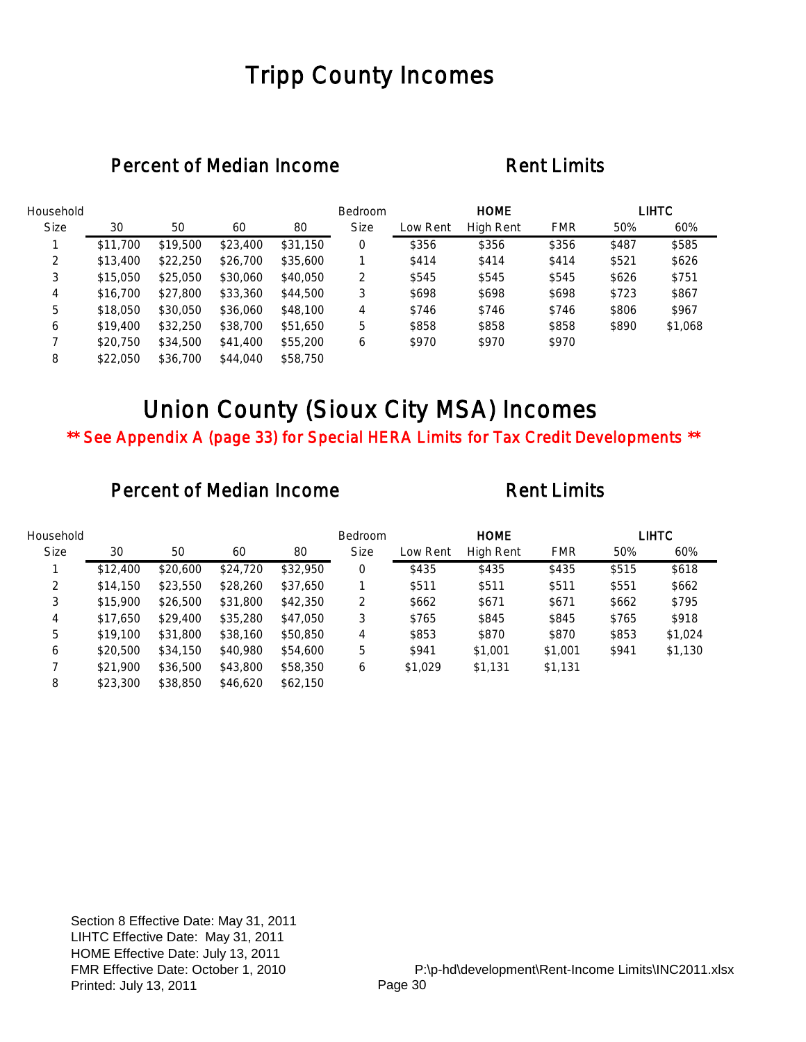## Tripp County Incomes

### Percent of Median Income Rent Limits

| Household   |          |          |          |          | Bedroom     |          | <b>HOME</b>      |            |       | <b>LIHTC</b> |
|-------------|----------|----------|----------|----------|-------------|----------|------------------|------------|-------|--------------|
| <b>Size</b> | 30       | 50       | 60       | 80       | <b>Size</b> | Low Rent | <b>High Rent</b> | <b>FMR</b> | 50%   | 60%          |
|             | \$11,700 | \$19,500 | \$23,400 | \$31,150 | 0           | \$356    | \$356            | \$356      | \$487 | \$585        |
| 2           | \$13,400 | \$22,250 | \$26,700 | \$35,600 |             | \$414    | \$414            | \$414      | \$521 | \$626        |
| 3           | \$15,050 | \$25,050 | \$30,060 | \$40,050 | 2           | \$545    | \$545            | \$545      | \$626 | \$751        |
| 4           | \$16,700 | \$27,800 | \$33,360 | \$44,500 | 3           | \$698    | \$698            | \$698      | \$723 | \$867        |
| 5           | \$18,050 | \$30,050 | \$36,060 | \$48,100 | 4           | \$746    | \$746            | \$746      | \$806 | \$967        |
| 6           | \$19,400 | \$32,250 | \$38,700 | \$51,650 | 5           | \$858    | \$858            | \$858      | \$890 | \$1,068      |
|             | \$20,750 | \$34,500 | \$41,400 | \$55,200 | 6           | \$970    | \$970            | \$970      |       |              |
| 8           | \$22,050 | \$36,700 | \$44,040 | \$58,750 |             |          |                  |            |       |              |

# Union County (Sioux City MSA) Incomes

\*\* See Appendix A (page 33) for Special HERA Limits for Tax Credit Developments \*\*

| Household   |          |          |          |          | Bedroom     |          | <b>HOME</b> |            |       | <b>LIHTC</b> |
|-------------|----------|----------|----------|----------|-------------|----------|-------------|------------|-------|--------------|
| <b>Size</b> | 30       | 50       | 60       | 80       | <b>Size</b> | Low Rent | High Rent   | <b>FMR</b> | 50%   | 60%          |
|             | \$12,400 | \$20,600 | \$24,720 | \$32,950 | 0           | \$435    | \$435       | \$435      | \$515 | \$618        |
| 2           | \$14,150 | \$23,550 | \$28,260 | \$37,650 |             | \$511    | \$511       | \$511      | \$551 | \$662        |
| 3           | \$15,900 | \$26,500 | \$31,800 | \$42,350 | 2           | \$662    | \$671       | \$671      | \$662 | \$795        |
| 4           | \$17,650 | \$29,400 | \$35,280 | \$47,050 | 3           | \$765    | \$845       | \$845      | \$765 | \$918        |
| 5           | \$19,100 | \$31,800 | \$38,160 | \$50,850 | 4           | \$853    | \$870       | \$870      | \$853 | \$1,024      |
| 6           | \$20,500 | \$34,150 | \$40,980 | \$54,600 | 5           | \$941    | \$1,001     | \$1,001    | \$941 | \$1,130      |
|             | \$21,900 | \$36,500 | \$43,800 | \$58,350 | 6           | \$1,029  | \$1,131     | \$1,131    |       |              |
| 8           | \$23,300 | \$38,850 | \$46,620 | \$62,150 |             |          |             |            |       |              |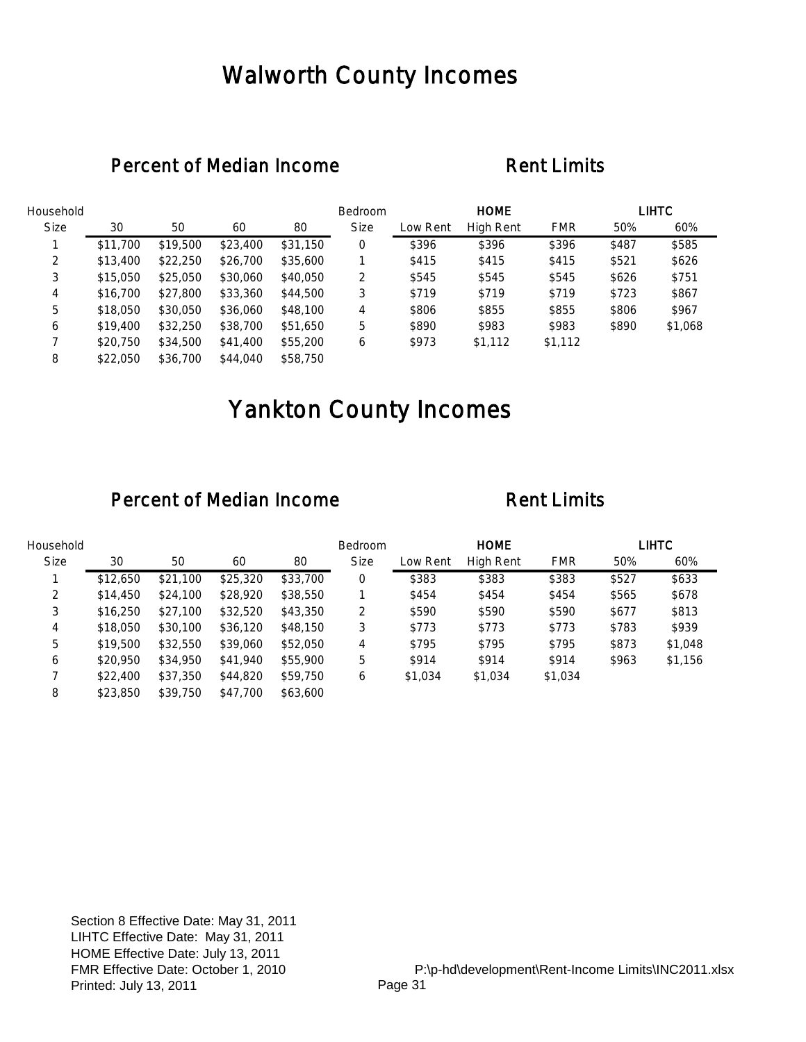## Walworth County Incomes

### Percent of Median Income Rent Limits

| Household   |          |          |          |          | Bedroom     |          | <b>HOME</b>      |            |       | <b>LIHTC</b> |
|-------------|----------|----------|----------|----------|-------------|----------|------------------|------------|-------|--------------|
| <b>Size</b> | 30       | 50       | 60       | 80       | <b>Size</b> | Low Rent | <b>High Rent</b> | <b>FMR</b> | 50%   | 60%          |
|             | \$11,700 | \$19,500 | \$23,400 | \$31,150 | 0           | \$396    | \$396            | \$396      | \$487 | \$585        |
| 2           | \$13,400 | \$22,250 | \$26,700 | \$35,600 |             | \$415    | \$415            | \$415      | \$521 | \$626        |
| 3           | \$15,050 | \$25,050 | \$30,060 | \$40,050 | 2           | \$545    | \$545            | \$545      | \$626 | \$751        |
| 4           | \$16,700 | \$27,800 | \$33,360 | \$44,500 | 3           | \$719    | \$719            | \$719      | \$723 | \$867        |
| 5           | \$18,050 | \$30,050 | \$36,060 | \$48,100 | 4           | \$806    | \$855            | \$855      | \$806 | \$967        |
| 6           | \$19,400 | \$32,250 | \$38,700 | \$51,650 | 5           | \$890    | \$983            | \$983      | \$890 | \$1,068      |
|             | \$20,750 | \$34,500 | \$41,400 | \$55,200 | 6           | \$973    | \$1,112          | \$1,112    |       |              |
| 8           | \$22,050 | \$36,700 | \$44,040 | \$58,750 |             |          |                  |            |       |              |

# Yankton County Incomes

| Household   |          |          |          |          | <b>Bedroom</b> |          | <b>HOME</b>      |            |       | <b>LIHTC</b> |
|-------------|----------|----------|----------|----------|----------------|----------|------------------|------------|-------|--------------|
| <b>Size</b> | 30       | 50       | 60       | 80       | <b>Size</b>    | Low Rent | <b>High Rent</b> | <b>FMR</b> | 50%   | 60%          |
|             | \$12,650 | \$21,100 | \$25,320 | \$33,700 | 0              | \$383    | \$383            | \$383      | \$527 | \$633        |
| 2           | \$14,450 | \$24,100 | \$28,920 | \$38,550 |                | \$454    | \$454            | \$454      | \$565 | \$678        |
| 3           | \$16,250 | \$27,100 | \$32,520 | \$43,350 | 2              | \$590    | \$590            | \$590      | \$677 | \$813        |
| 4           | \$18,050 | \$30,100 | \$36,120 | \$48,150 | 3              | \$773    | \$773            | \$773      | \$783 | \$939        |
| 5           | \$19,500 | \$32,550 | \$39,060 | \$52,050 | 4              | \$795    | \$795            | \$795      | \$873 | \$1,048      |
| 6           | \$20,950 | \$34,950 | \$41,940 | \$55,900 | 5              | \$914    | \$914            | \$914      | \$963 | \$1,156      |
|             | \$22,400 | \$37,350 | \$44,820 | \$59,750 | 6              | \$1,034  | \$1,034          | \$1,034    |       |              |
| 8           | \$23,850 | \$39,750 | \$47,700 | \$63,600 |                |          |                  |            |       |              |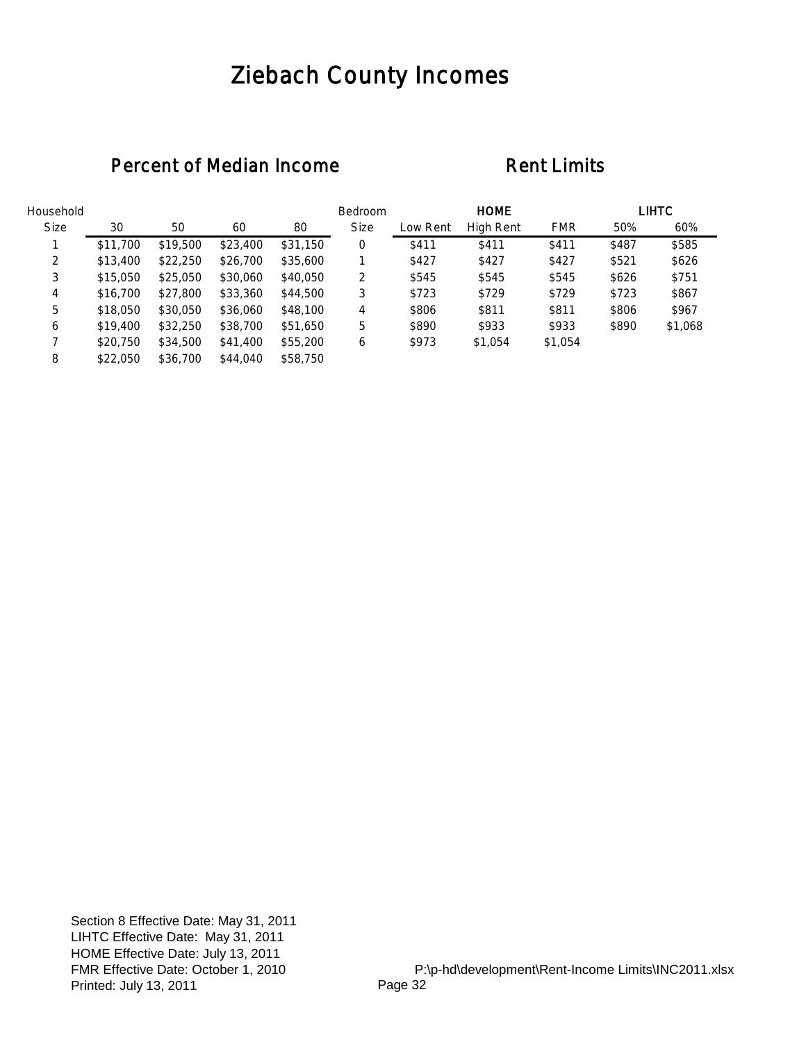# Ziebach County Incomes

| Household   |          |          |          |          | Bedroom     |          | <b>HOME</b>      |            |       | <b>LIHTC</b> |
|-------------|----------|----------|----------|----------|-------------|----------|------------------|------------|-------|--------------|
| <b>Size</b> | 30       | 50       | 60       | 80       | <b>Size</b> | Low Rent | <b>High Rent</b> | <b>FMR</b> | 50%   | 60%          |
|             | \$11,700 | \$19,500 | \$23,400 | \$31,150 | 0           | \$411    | \$411            | \$411      | \$487 | \$585        |
| 2           | \$13,400 | \$22,250 | \$26,700 | \$35,600 |             | \$427    | \$427            | \$427      | \$521 | \$626        |
| 3           | \$15,050 | \$25,050 | \$30,060 | \$40,050 | 2           | \$545    | \$545            | \$545      | \$626 | \$751        |
| 4           | \$16,700 | \$27,800 | \$33,360 | \$44,500 | 3           | \$723    | \$729            | \$729      | \$723 | \$867        |
| 5           | \$18,050 | \$30,050 | \$36,060 | \$48,100 | 4           | \$806    | \$811            | \$811      | \$806 | \$967        |
| 6           | \$19,400 | \$32,250 | \$38,700 | \$51,650 | 5           | \$890    | \$933            | \$933      | \$890 | \$1,068      |
|             | \$20,750 | \$34,500 | \$41,400 | \$55,200 | 6           | \$973    | \$1,054          | \$1,054    |       |              |
| 8           | \$22,050 | \$36,700 | \$44,040 | \$58,750 |             |          |                  |            |       |              |